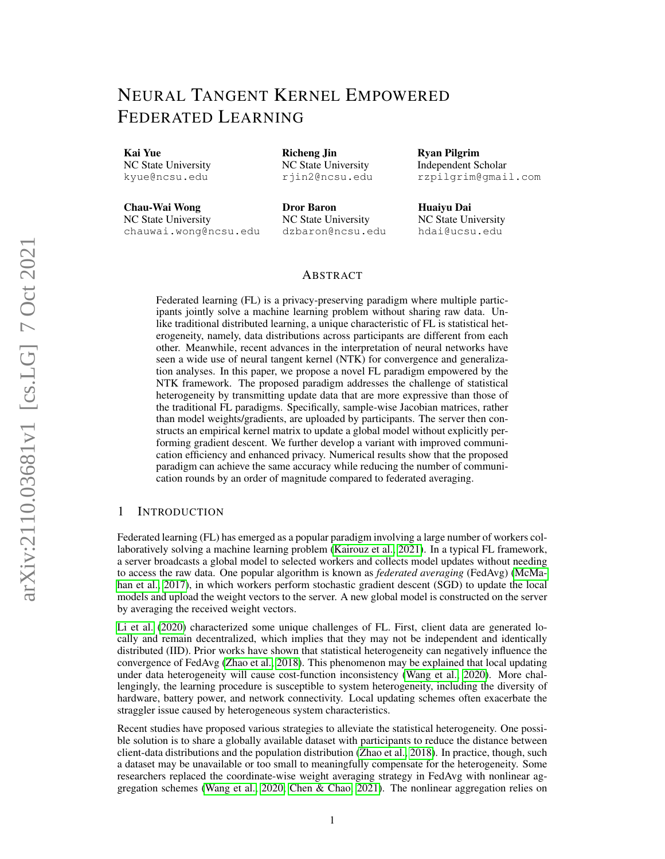# NEURAL TANGENT KERNEL EMPOWERED FEDERATED LEARNING

Richeng Jin NC State University rjin2@ncsu.edu

Kai Yue NC State University kyue@ncsu.edu

Chau-Wai Wong NC State University

chauwai.wong@ncsu.edu Dror Baron NC State University dzbaron@ncsu.edu Ryan Pilgrim Independent Scholar rzpilgrim@gmail.com

Huaiyu Dai NC State University hdai@ucsu.edu

## ABSTRACT

Federated learning (FL) is a privacy-preserving paradigm where multiple participants jointly solve a machine learning problem without sharing raw data. Unlike traditional distributed learning, a unique characteristic of FL is statistical heterogeneity, namely, data distributions across participants are different from each other. Meanwhile, recent advances in the interpretation of neural networks have seen a wide use of neural tangent kernel (NTK) for convergence and generalization analyses. In this paper, we propose a novel FL paradigm empowered by the NTK framework. The proposed paradigm addresses the challenge of statistical heterogeneity by transmitting update data that are more expressive than those of the traditional FL paradigms. Specifically, sample-wise Jacobian matrices, rather than model weights/gradients, are uploaded by participants. The server then constructs an empirical kernel matrix to update a global model without explicitly performing gradient descent. We further develop a variant with improved communication efficiency and enhanced privacy. Numerical results show that the proposed paradigm can achieve the same accuracy while reducing the number of communication rounds by an order of magnitude compared to federated averaging.

## 1 INTRODUCTION

Federated learning (FL) has emerged as a popular paradigm involving a large number of workers collaboratively solving a machine learning problem [\(Kairouz et al., 2021\)](#page-9-0). In a typical FL framework, a server broadcasts a global model to selected workers and collects model updates without needing to access the raw data. One popular algorithm is known as *federated averaging* (FedAvg) [\(McMa](#page-10-0)[han et al., 2017\)](#page-10-0), in which workers perform stochastic gradient descent (SGD) to update the local models and upload the weight vectors to the server. A new global model is constructed on the server by averaging the received weight vectors.

[Li et al.](#page-10-1) [\(2020\)](#page-10-1) characterized some unique challenges of FL. First, client data are generated locally and remain decentralized, which implies that they may not be independent and identically distributed (IID). Prior works have shown that statistical heterogeneity can negatively influence the convergence of FedAvg [\(Zhao et al., 2018\)](#page-11-0). This phenomenon may be explained that local updating under data heterogeneity will cause cost-function inconsistency [\(Wang et al., 2020\)](#page-10-2). More challengingly, the learning procedure is susceptible to system heterogeneity, including the diversity of hardware, battery power, and network connectivity. Local updating schemes often exacerbate the straggler issue caused by heterogeneous system characteristics.

Recent studies have proposed various strategies to alleviate the statistical heterogeneity. One possible solution is to share a globally available dataset with participants to reduce the distance between client-data distributions and the population distribution [\(Zhao et al., 2018\)](#page-11-0). In practice, though, such a dataset may be unavailable or too small to meaningfully compensate for the heterogeneity. Some researchers replaced the coordinate-wise weight averaging strategy in FedAvg with nonlinear aggregation schemes [\(Wang et al., 2020;](#page-10-3) [Chen & Chao, 2021\)](#page-9-1). The nonlinear aggregation relies on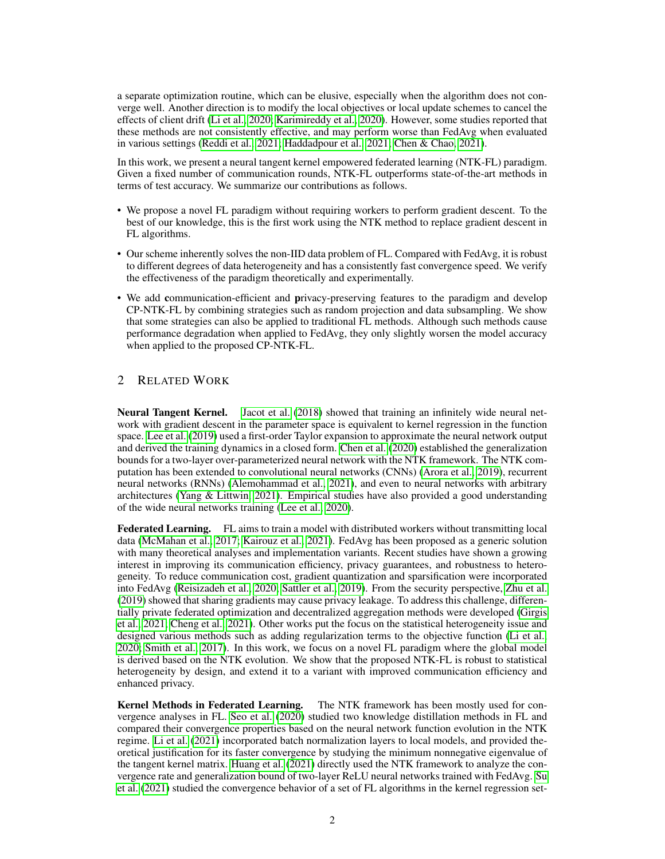a separate optimization routine, which can be elusive, especially when the algorithm does not converge well. Another direction is to modify the local objectives or local update schemes to cancel the effects of client drift [\(Li et al., 2020;](#page-10-4) [Karimireddy et al., 2020\)](#page-9-2). However, some studies reported that these methods are not consistently effective, and may perform worse than FedAvg when evaluated in various settings [\(Reddi et al., 2021;](#page-10-5) [Haddadpour et al., 2021;](#page-9-3) [Chen & Chao, 2021\)](#page-9-1).

In this work, we present a neural tangent kernel empowered federated learning (NTK-FL) paradigm. Given a fixed number of communication rounds, NTK-FL outperforms state-of-the-art methods in terms of test accuracy. We summarize our contributions as follows.

- We propose a novel FL paradigm without requiring workers to perform gradient descent. To the best of our knowledge, this is the first work using the NTK method to replace gradient descent in FL algorithms.
- Our scheme inherently solves the non-IID data problem of FL. Compared with FedAvg, it is robust to different degrees of data heterogeneity and has a consistently fast convergence speed. We verify the effectiveness of the paradigm theoretically and experimentally.
- We add communication-efficient and privacy-preserving features to the paradigm and develop CP-NTK-FL by combining strategies such as random projection and data subsampling. We show that some strategies can also be applied to traditional FL methods. Although such methods cause performance degradation when applied to FedAvg, they only slightly worsen the model accuracy when applied to the proposed CP-NTK-FL.

## 2 RELATED WORK

Neural Tangent Kernel. [Jacot et al.](#page-9-4) [\(2018\)](#page-9-4) showed that training an infinitely wide neural network with gradient descent in the parameter space is equivalent to kernel regression in the function space. [Lee et al.](#page-10-6) [\(2019\)](#page-10-6) used a first-order Taylor expansion to approximate the neural network output and derived the training dynamics in a closed form. [Chen et al.](#page-9-5) [\(2020\)](#page-9-5) established the generalization bounds for a two-layer over-parameterized neural network with the NTK framework. The NTK computation has been extended to convolutional neural networks (CNNs) [\(Arora et al., 2019\)](#page-9-6), recurrent neural networks (RNNs) [\(Alemohammad et al., 2021\)](#page-8-0), and even to neural networks with arbitrary architectures [\(Yang & Littwin, 2021\)](#page-11-1). Empirical studies have also provided a good understanding of the wide neural networks training [\(Lee et al., 2020\)](#page-10-7).

Federated Learning. FL aims to train a model with distributed workers without transmitting local data [\(McMahan et al., 2017;](#page-10-0) [Kairouz et al., 2021\)](#page-9-0). FedAvg has been proposed as a generic solution with many theoretical analyses and implementation variants. Recent studies have shown a growing interest in improving its communication efficiency, privacy guarantees, and robustness to heterogeneity. To reduce communication cost, gradient quantization and sparsification were incorporated into FedAvg [\(Reisizadeh et al., 2020;](#page-10-8) [Sattler et al., 2019\)](#page-10-9). From the security perspective, [Zhu et al.](#page-11-2) [\(2019\)](#page-11-2) showed that sharing gradients may cause privacy leakage. To address this challenge, differentially private federated optimization and decentralized aggregation methods were developed [\(Girgis](#page-9-7) [et al., 2021;](#page-9-7) [Cheng et al., 2021\)](#page-9-8). Other works put the focus on the statistical heterogeneity issue and designed various methods such as adding regularization terms to the objective function [\(Li et al.,](#page-10-4) [2020;](#page-10-4) [Smith et al., 2017\)](#page-10-10). In this work, we focus on a novel FL paradigm where the global model is derived based on the NTK evolution. We show that the proposed NTK-FL is robust to statistical heterogeneity by design, and extend it to a variant with improved communication efficiency and enhanced privacy.

Kernel Methods in Federated Learning. The NTK framework has been mostly used for convergence analyses in FL. [Seo et al.](#page-10-11) [\(2020\)](#page-10-11) studied two knowledge distillation methods in FL and compared their convergence properties based on the neural network function evolution in the NTK regime. [Li et al.](#page-10-12) [\(2021\)](#page-10-12) incorporated batch normalization layers to local models, and provided theoretical justification for its faster convergence by studying the minimum nonnegative eigenvalue of the tangent kernel matrix. [Huang et al.](#page-9-9) [\(2021\)](#page-9-9) directly used the NTK framework to analyze the convergence rate and generalization bound of two-layer ReLU neural networks trained with FedAvg. [Su](#page-10-13) [et al.](#page-10-13) [\(2021\)](#page-10-13) studied the convergence behavior of a set of FL algorithms in the kernel regression set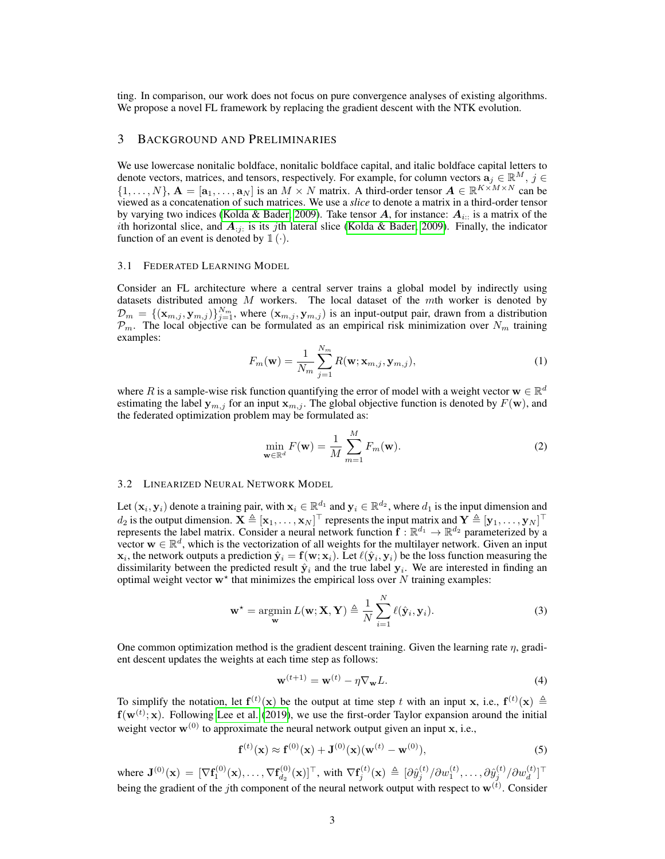ting. In comparison, our work does not focus on pure convergence analyses of existing algorithms. We propose a novel FL framework by replacing the gradient descent with the NTK evolution.

## 3 BACKGROUND AND PRELIMINARIES

We use lowercase nonitalic boldface, nonitalic boldface capital, and italic boldface capital letters to denote vectors, matrices, and tensors, respectively. For example, for column vectors  $\mathbf{a}_i \in \mathbb{R}^M$ ,  $j \in$  $\{1,\ldots,N\},\mathbf{A}=[\mathbf{a}_1,\ldots,\mathbf{a}_N]$  is an  $M\times N$  matrix. A third-order tensor  $\mathbf{A}\in\mathbb{R}^{K\times M\times N}$  can be viewed as a concatenation of such matrices. We use a *slice* to denote a matrix in a third-order tensor by varying two indices [\(Kolda & Bader, 2009\)](#page-10-14). Take tensor A, for instance:  $A_{i::}$  is a matrix of the *i*th horizontal slice, and  $A_{ij}$  is its *j*th lateral slice [\(Kolda & Bader, 2009\)](#page-10-14). Finally, the indicator function of an event is denoted by  $\mathbb{1}(\cdot)$ .

#### 3.1 FEDERATED LEARNING MODEL

Consider an FL architecture where a central server trains a global model by indirectly using datasets distributed among  $M$  workers. The local dataset of the  $m$ th worker is denoted by  $\mathcal{D}_m = \{(\mathbf{x}_{m,j}, \mathbf{y}_{m,j})\}_{j=1}^{N_m}$ , where  $(\mathbf{x}_{m,j}, \mathbf{y}_{m,j})$  is an input-output pair, drawn from a distribution  $\mathcal{P}_m$ . The local objective can be formulated as an empirical risk minimization over  $N_m$  training examples:

$$
F_m(\mathbf{w}) = \frac{1}{N_m} \sum_{j=1}^{N_m} R(\mathbf{w}; \mathbf{x}_{m,j}, \mathbf{y}_{m,j}),
$$
\n(1)

where R is a sample-wise risk function quantifying the error of model with a weight vector  $\mathbf{w} \in \mathbb{R}^d$ estimating the label  $y_{m,j}$  for an input  $x_{m,j}$ . The global objective function is denoted by  $F(w)$ , and the federated optimization problem may be formulated as:

$$
\min_{\mathbf{w}\in\mathbb{R}^d} F(\mathbf{w}) = \frac{1}{M} \sum_{m=1}^M F_m(\mathbf{w}).
$$
\n(2)

#### <span id="page-2-0"></span>3.2 LINEARIZED NEURAL NETWORK MODEL

Let  $(x_i, y_i)$  denote a training pair, with  $x_i \in \mathbb{R}^{d_1}$  and  $y_i \in \mathbb{R}^{d_2}$ , where  $d_1$  is the input dimension and  $d_2$  is the output dimension.  $\mathbf{X} \triangleq [\mathbf{x}_1,\dots,\mathbf{x}_N]^\top$  represents the input matrix and  $\mathbf{Y} \triangleq [\mathbf{y}_1,\dots,\mathbf{y}_N]^\top$ represents the label matrix. Consider a neural network function  $\mathbf{f} : \mathbb{R}^{d_1} \to \mathbb{R}^{d_2}$  parameterized by a vector  $\mathbf{w} \in \mathbb{R}^d$ , which is the vectorization of all weights for the multilayer network. Given an input  $\mathbf{x}_i$ , the network outputs a prediction  $\hat{\mathbf{y}}_i = \mathbf{f}(\mathbf{w}; \mathbf{x}_i)$ . Let  $\ell(\hat{\mathbf{y}}_i, \mathbf{y}_i)$  be the loss function measuring the dissimilarity between the predicted result  $\hat{\mathbf{y}}_i$  and the true label  $\mathbf{y}_i$ . We are interested in finding an optimal weight vector  $w^*$  that minimizes the empirical loss over N training examples:

$$
\mathbf{w}^* = \underset{\mathbf{w}}{\operatorname{argmin}} L(\mathbf{w}; \mathbf{X}, \mathbf{Y}) \triangleq \frac{1}{N} \sum_{i=1}^N \ell(\hat{\mathbf{y}}_i, \mathbf{y}_i).
$$
 (3)

One common optimization method is the gradient descent training. Given the learning rate  $\eta$ , gradient descent updates the weights at each time step as follows:

$$
\mathbf{w}^{(t+1)} = \mathbf{w}^{(t)} - \eta \nabla_{\mathbf{w}} L.
$$
 (4)

To simplify the notation, let  $f^{(t)}(x)$  be the output at time step t with an input x, i.e.,  $f^{(t)}(x) \triangleq$  $f(w^{(t)}; x)$ . Following [Lee et al.](#page-10-6) [\(2019\)](#page-10-6), we use the first-order Taylor expansion around the initial weight vector  $\mathbf{w}^{(0)}$  to approximate the neural network output given an input x, i.e.,

$$
\mathbf{f}^{(t)}(\mathbf{x}) \approx \mathbf{f}^{(0)}(\mathbf{x}) + \mathbf{J}^{(0)}(\mathbf{x})(\mathbf{w}^{(t)} - \mathbf{w}^{(0)}),
$$
 (5)

where  $\mathbf{J}^{(0)}(\mathbf{x})\, =\, [\nabla \mathbf{f}^{(0)}_1(\mathbf{x}), \ldots, \nabla \mathbf{f}^{(0)}_{d_2}]$  $\{ \tilde{\theta}_{d2}^{(0)}(\mathbf{x})]^\top, \text{ with } \nabla \mathbf{f}_j^{(t)}(\mathbf{x}) \, \triangleq \, [ \partial \hat{y}_j^{(t)} / \partial w_1^{(t)}, \ldots, \partial \hat{y}_j^{(t)} / \partial w_d^{(t)} ]^\top$ being the gradient of the *j*th component of the neural network output with respect to  $w^{(t)}$ . Consider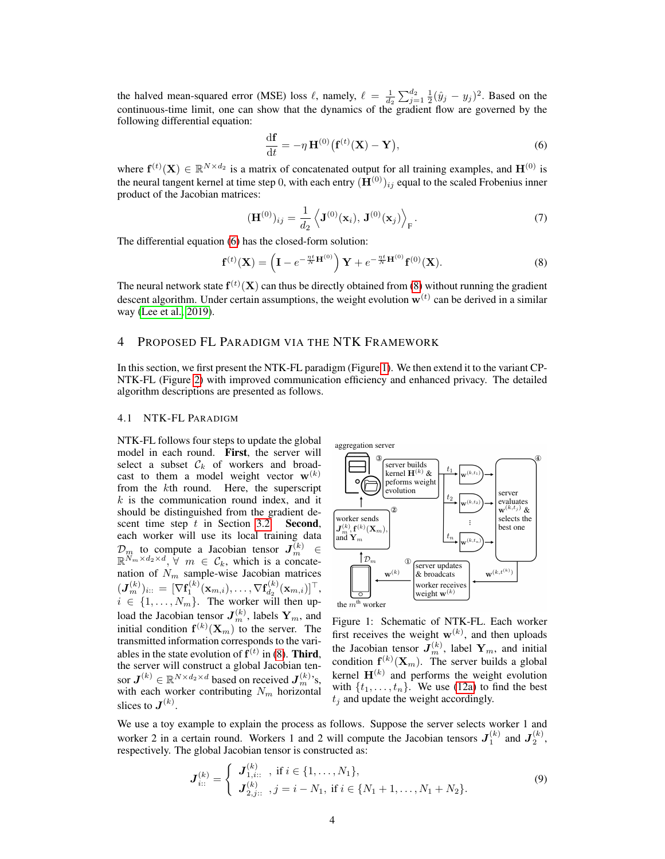the halved mean-squared error (MSE) loss  $\ell$ , namely,  $\ell = \frac{1}{d_2} \sum_{j=1}^{d_2} \frac{1}{2} (\hat{y}_j - y_j)^2$ . Based on the continuous-time limit, one can show that the dynamics of the gradient flow are governed by the following differential equation:

<span id="page-3-0"></span>
$$
\frac{\mathrm{d}\mathbf{f}}{\mathrm{d}t} = -\eta \mathbf{H}^{(0)}(\mathbf{f}^{(t)}(\mathbf{X}) - \mathbf{Y}),\tag{6}
$$

where  $f^{(t)}(X) \in \mathbb{R}^{N \times d_2}$  is a matrix of concatenated output for all training examples, and  $H^{(0)}$  is the neural tangent kernel at time step 0, with each entry  $(\mathbf{H}^{(0)})_{ij}$  equal to the scaled Frobenius inner product of the Jacobian matrices:

<span id="page-3-3"></span><span id="page-3-1"></span>
$$
(\mathbf{H}^{(0)})_{ij} = \frac{1}{d_2} \left\langle \mathbf{J}^{(0)}(\mathbf{x}_i), \mathbf{J}^{(0)}(\mathbf{x}_j) \right\rangle_{\mathbf{F}}.
$$
 (7)

The differential equation [\(6\)](#page-3-0) has the closed-form solution:

$$
\mathbf{f}^{(t)}(\mathbf{X}) = \left(\mathbf{I} - e^{-\frac{\eta t}{N}\mathbf{H}^{(0)}}\right)\mathbf{Y} + e^{-\frac{\eta t}{N}\mathbf{H}^{(0)}}\mathbf{f}^{(0)}(\mathbf{X}).
$$
\n(8)

The neural network state  $f^{(t)}(X)$  can thus be directly obtained from [\(8\)](#page-3-1) without running the gradient descent algorithm. Under certain assumptions, the weight evolution  $w^{(t)}$  can be derived in a similar way [\(Lee et al., 2019\)](#page-10-6).

### 4 PROPOSED FL PARADIGM VIA THE NTK FRAMEWORK

In this section, we first present the NTK-FL paradigm (Figure [1\)](#page-3-2). We then extend it to the variant CP-NTK-FL (Figure [2\)](#page-5-0) with improved communication efficiency and enhanced privacy. The detailed algorithm descriptions are presented as follows.

#### 4.1 NTK-FL PARADIGM

NTK-FL follows four steps to update the global model in each round. First, the server will select a subset  $\mathcal{C}_k$  of workers and broadcast to them a model weight vector  $\mathbf{w}^{(k)}$ from the kth round. Here, the superscript  $k$  is the communication round index, and it should be distinguished from the gradient descent time step  $t$  in Section [3.2.](#page-2-0) Second, each worker will use its local training data  $\mathcal{D}_m$  to compute a Jacobian tensor  $J_m^{(k)} \in \mathbb{R}^{N_m \times d_2 \times d}, \forall m \in \mathcal{C}_k$ , which is a concatenation of  $N_m$  sample-wise Jacobian matrices  $(\boldsymbol{J}_m^{(k)})_{i::} = [\nabla \mathbf{f}_1^{(k)}(\mathbf{x}_{m,i}), \ldots, \nabla \mathbf{f}_{d_2}^{(k)}$  $\mathbf{d}_{d_2}^{(k)}(\mathbf{x}_{m,i})]^\top,$  $i \in \{1, \ldots, N_m\}$ . The worker will then upload the Jacobian tensor  $J_m^{(k)}$ , labels  $Y_m$ , and initial condition  $f^{(k)}(X_m)$  to the server. The transmitted information corresponds to the variables in the state evolution of  $f^{(t)}$  in [\(8\)](#page-3-1). Third, the server will construct a global Jacobian tensor  $\boldsymbol{J}^{(k)} \in \mathbb{R}^{N \times d_2 \times d}$  based on received  $\boldsymbol{J}_m^{(k)}$ 's, with each worker contributing  $N_m$  horizontal slices to  $\boldsymbol{J}^{(k)}$ .

<span id="page-3-2"></span>

Figure 1: Schematic of NTK-FL. Each worker first receives the weight  $w^{(k)}$ , and then uploads the Jacobian tensor  $J_m^{(k)}$ , label  $Y_m$ , and initial condition  $f^{(k)}(X_m)$ . The server builds a global kernel  $\mathbf{H}^{(k)}$  and performs the weight evolution with  $\{t_1, \ldots, t_n\}$ . We use [\(12a\)](#page-4-0) to find the best  $t_i$  and update the weight accordingly.

We use a toy example to explain the process as follows. Suppose the server selects worker 1 and worker 2 in a certain round. Workers 1 and 2 will compute the Jacobian tensors  $J_1^{(k)}$  and  $J_2^{(k)}$ , respectively. The global Jacobian tensor is constructed as:

$$
\mathbf{J}_{i::}^{(k)} = \begin{cases} \mathbf{J}_{1,i::}^{(k)} , \text{ if } i \in \{1, \ldots, N_1\}, \\ \mathbf{J}_{2,j::}^{(k)} , j = i - N_1, \text{ if } i \in \{N_1 + 1, \ldots, N_1 + N_2\}. \end{cases}
$$
(9)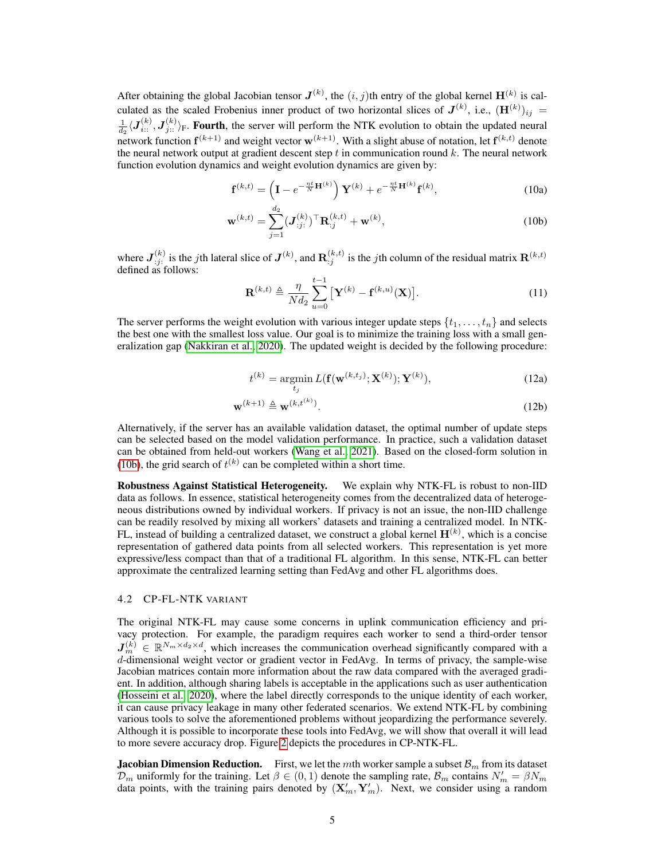After obtaining the global Jacobian tensor  $J^{(k)}$ , the  $(i, j)$ th entry of the global kernel  $\mathbf{H}^{(k)}$  is calculated as the scaled Frobenius inner product of two horizontal slices of  $J^{(k)}$ , i.e.,  $(\mathbf{H}^{(k)})_{ij} =$  $\frac{1}{h_2} \langle \mathbf{J}_{i::}^{(k)}, \mathbf{J}_{j::}^{(k)} \rangle_F$ . Fourth, the server will perform the NTK evolution to obtain the updated neural  $d_2$ network function  $f^{(k+1)}$  and weight vector  $w^{(k+1)}$ . With a slight abuse of notation, let  $f^{(k,t)}$  denote the neural network output at gradient descent step  $t$  in communication round  $k$ . The neural network function evolution dynamics and weight evolution dynamics are given by:

<span id="page-4-0"></span>
$$
\mathbf{f}^{(k,t)} = \left(\mathbf{I} - e^{-\frac{\eta t}{N}\mathbf{H}^{(k)}}\right)\mathbf{Y}^{(k)} + e^{-\frac{\eta t}{N}\mathbf{H}^{(k)}}\mathbf{f}^{(k)},\tag{10a}
$$

$$
\mathbf{w}^{(k,t)} = \sum_{j=1}^{d_2} (\mathbf{J}_{:j:}^{(k)})^\top \mathbf{R}_{:j}^{(k,t)} + \mathbf{w}^{(k)},
$$
(10b)

where  $J_{:j}^{(k)}$  is the jth lateral slice of  $J^{(k)}$ , and  $\mathbf{R}_{:j}^{(k,t)}$  is the jth column of the residual matrix  $\mathbf{R}^{(k,t)}$ defined as follows:

<span id="page-4-1"></span>
$$
\mathbf{R}^{(k,t)} \triangleq \frac{\eta}{Nd_2} \sum_{u=0}^{t-1} \left[ \mathbf{Y}^{(k)} - \mathbf{f}^{(k,u)}(\mathbf{X}) \right]. \tag{11}
$$

The server performs the weight evolution with various integer update steps  $\{t_1, \ldots, t_n\}$  and selects the best one with the smallest loss value. Our goal is to minimize the training loss with a small generalization gap [\(Nakkiran et al., 2020\)](#page-10-15). The updated weight is decided by the following procedure:

$$
t^{(k)} = \underset{t_j}{\operatorname{argmin}} L(\mathbf{f}(\mathbf{w}^{(k,t_j)}; \mathbf{X}^{(k)}); \mathbf{Y}^{(k)}),
$$
\n(12a)

$$
\mathbf{w}^{(k+1)} \triangleq \mathbf{w}^{(k,t^{(k)})}.
$$
 (12b)

Alternatively, if the server has an available validation dataset, the optimal number of update steps can be selected based on the model validation performance. In practice, such a validation dataset can be obtained from held-out workers [\(Wang et al., 2021\)](#page-10-16). Based on the closed-form solution in [\(10b\)](#page-4-1), the grid search of  $t^{(k)}$  can be completed within a short time.

Robustness Against Statistical Heterogeneity. We explain why NTK-FL is robust to non-IID data as follows. In essence, statistical heterogeneity comes from the decentralized data of heterogeneous distributions owned by individual workers. If privacy is not an issue, the non-IID challenge can be readily resolved by mixing all workers' datasets and training a centralized model. In NTK-FL, instead of building a centralized dataset, we construct a global kernel  $\mathbf{H}^{(k)}$ , which is a concise representation of gathered data points from all selected workers. This representation is yet more expressive/less compact than that of a traditional FL algorithm. In this sense, NTK-FL can better approximate the centralized learning setting than FedAvg and other FL algorithms does.

#### 4.2 CP-FL-NTK VARIANT

The original NTK-FL may cause some concerns in uplink communication efficiency and privacy protection. For example, the paradigm requires each worker to send a third-order tensor  $J_m^{(k)} \in \mathbb{R}^{N_m \times d_2 \times d}$ , which increases the communication overhead significantly compared with a d-dimensional weight vector or gradient vector in FedAvg. In terms of privacy, the sample-wise Jacobian matrices contain more information about the raw data compared with the averaged gradient. In addition, although sharing labels is acceptable in the applications such as user authentication [\(Hosseini et al., 2020\)](#page-9-10), where the label directly corresponds to the unique identity of each worker, it can cause privacy leakage in many other federated scenarios. We extend NTK-FL by combining various tools to solve the aforementioned problems without jeopardizing the performance severely. Although it is possible to incorporate these tools into FedAvg, we will show that overall it will lead to more severe accuracy drop. Figure [2](#page-5-0) depicts the procedures in CP-NTK-FL.

**Jacobian Dimension Reduction.** First, we let the mth worker sample a subset  $\mathcal{B}_m$  from its dataset  $\mathcal{D}_m$  uniformly for the training. Let  $\beta \in (0,1)$  denote the sampling rate,  $\mathcal{B}_m$  contains  $N'_m = \beta N_m$ data points, with the training pairs denoted by  $(\mathbf{X}'_m, \mathbf{Y}'_m)$ . Next, we consider using a random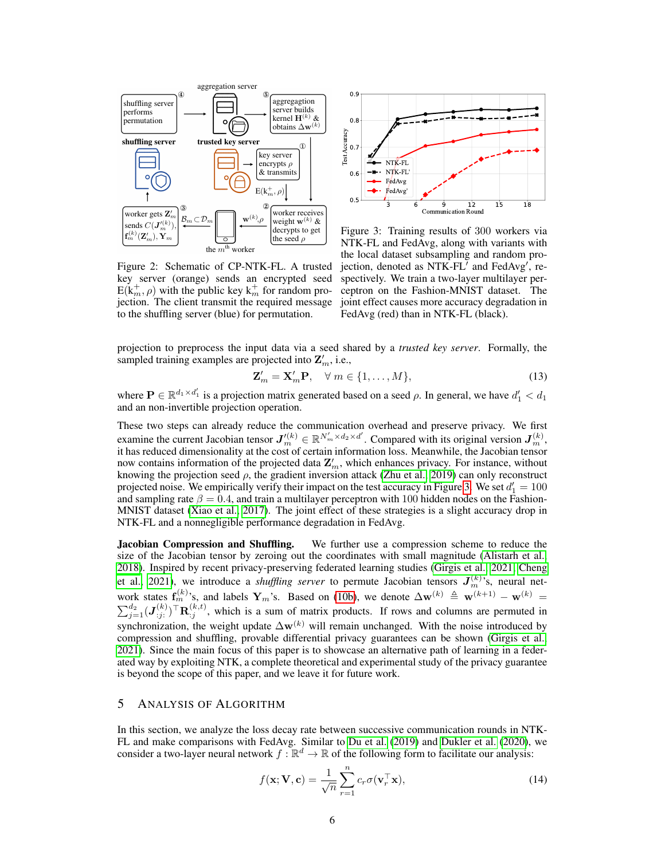<span id="page-5-0"></span>



Figure 3: Training results of 300 workers via NTK-FL and FedAvg, along with variants with the local dataset subsampling and random projection, denoted as  $NTK$ -FL<sup> $\bar{U}$ </sup> and FedAvg<sup>'</sup>, respectively. We train a two-layer multilayer perceptron on the Fashion-MNIST dataset. The joint effect causes more accuracy degradation in FedAvg (red) than in NTK-FL (black).

Figure 2: Schematic of CP-NTK-FL. A trusted key server (orange) sends an encrypted seed  $E(k_m^+, \rho)$  with the public key  $k_m^+$  for random projection. The client transmit the required message to the shuffling server (blue) for permutation.

projection to preprocess the input data via a seed shared by a *trusted key server*. Formally, the sampled training examples are projected into  $\mathbf{Z}'_m$ , i.e.,

$$
\mathbf{Z}'_m = \mathbf{X}'_m \mathbf{P}, \quad \forall \ m \in \{1, \dots, M\},\tag{13}
$$

where  $P \in \mathbb{R}^{d_1 \times d'_1}$  is a projection matrix generated based on a seed  $\rho$ . In general, we have  $d'_1 < d_1$ and an non-invertible projection operation.

These two steps can already reduce the communication overhead and preserve privacy. We first examine the current Jacobian tensor  $J'^{(k)}_m \in \mathbb{R}^{N'_m \times d_2 \times d'}$ . Compared with its original version  $J^{(k)}_m$ , it has reduced dimensionality at the cost of certain information loss. Meanwhile, the Jacobian tensor now contains information of the projected data  $\mathbf{Z}'_m$ , which enhances privacy. For instance, without knowing the projection seed  $\rho$ , the gradient inversion attack [\(Zhu et al., 2019\)](#page-11-2) can only reconstruct projected noise. We empirically verify their impact on the test accuracy in Figure [3.](#page-5-0) We set  $d'_1 = 100$ and sampling rate  $\beta = 0.4$ , and train a multilayer perceptron with 100 hidden nodes on the Fashion-MNIST dataset [\(Xiao et al., 2017\)](#page-11-3). The joint effect of these strategies is a slight accuracy drop in NTK-FL and a nonnegligible performance degradation in FedAvg.

**Jacobian Compression and Shuffling.** We further use a compression scheme to reduce the size of the Jacobian tensor by zeroing out the coordinates with small magnitude [\(Alistarh et al.,](#page-9-11) [2018\)](#page-9-11). Inspired by recent privacy-preserving federated learning studies [\(Girgis et al., 2021;](#page-9-7) [Cheng](#page-9-8) [et al., 2021\)](#page-9-8), we introduce a *shuffling server* to permute Jacobian tensors  $J_m^{(k)}$ 's, neural network states  $f_m^{(k)}$ 's, and labels  $Y_m$ 's. Based on [\(10b\)](#page-4-1), we denote  $\Delta w^{(k)} \triangleq w^{(k+1)} - w^{(k)} =$  $\sum_{j=1}^{d_2} (J_{j}^{(k)})^{\top} \mathbf{R}_{j}^{(k,t)}$ , which is a sum of matrix products. If rows and columns are permuted in synchronization, the weight update  $\Delta \mathbf{w}^{(k)}$  will remain unchanged. With the noise introduced by compression and shuffling, provable differential privacy guarantees can be shown [\(Girgis et al.,](#page-9-7) [2021\)](#page-9-7). Since the main focus of this paper is to showcase an alternative path of learning in a federated way by exploiting NTK, a complete theoretical and experimental study of the privacy guarantee is beyond the scope of this paper, and we leave it for future work.

## 5 ANALYSIS OF ALGORITHM

In this section, we analyze the loss decay rate between successive communication rounds in NTK-FL and make comparisons with FedAvg. Similar to [Du et al.](#page-9-12) [\(2019\)](#page-9-12) and [Dukler et al.](#page-9-13) [\(2020\)](#page-9-13), we consider a two-layer neural network  $f : \mathbb{R}^d \to \mathbb{R}$  of the following form to facilitate our analysis:

$$
f(\mathbf{x}; \mathbf{V}, \mathbf{c}) = \frac{1}{\sqrt{n}} \sum_{r=1}^{n} c_r \sigma(\mathbf{v}_r^{\top} \mathbf{x}),
$$
 (14)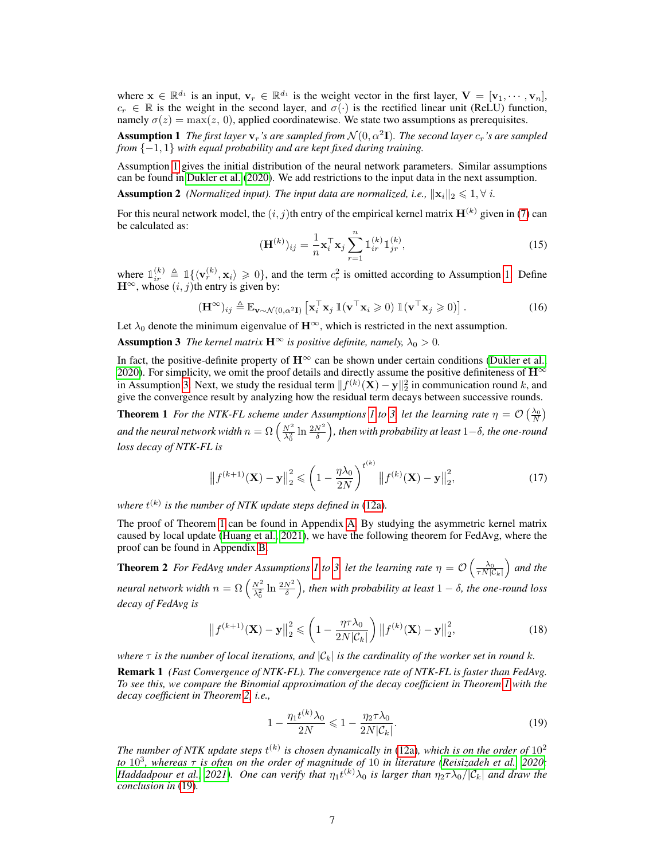where  $\mathbf{x} \in \mathbb{R}^{d_1}$  is an input,  $\mathbf{v}_r \in \mathbb{R}^{d_1}$  is the weight vector in the first layer,  $\mathbf{V} = [\mathbf{v}_1, \cdots, \mathbf{v}_n]$ ,  $c_r \in \mathbb{R}$  is the weight in the second layer, and  $\sigma(\cdot)$  is the rectified linear unit (ReLU) function, namely  $\sigma(z) = \max(z, 0)$ , applied coordinatewise. We state two assumptions as prerequisites.

<span id="page-6-0"></span>**Assumption 1** The first layer  $v_r$ 's are sampled from  $\mathcal{N}(0, \alpha^2 I)$ . The second layer  $c_r$ 's are sampled *from* {−1, 1} *with equal probability and are kept fixed during training.*

Assumption [1](#page-6-0) gives the initial distribution of the neural network parameters. Similar assumptions can be found in [Dukler et al.](#page-9-13) [\(2020\)](#page-9-13). We add restrictions to the input data in the next assumption.

<span id="page-6-5"></span>**Assumption 2** *(Normalized input). The input data are normalized, i.e.,*  $\|\mathbf{x}_i\|_2 \leq 1, \forall i$ .

For this neural network model, the  $(i, j)$ th entry of the empirical kernel matrix  $H^{(k)}$  given in [\(7\)](#page-3-3) can be calculated as:

$$
(\mathbf{H}^{(k)})_{ij} = \frac{1}{n} \mathbf{x}_i^{\top} \mathbf{x}_j \sum_{r=1}^{n} \mathbb{I}_{ir}^{(k)} \mathbb{I}_{jr}^{(k)},
$$
\n(15)

where  $\mathbb{1}_{ir}^{(k)} \triangleq \mathbb{1}_{\{\langle \mathbf{v}_r^{(k)}, \mathbf{x}_i \rangle \geq 0\}}$ , and the term  $c_r^2$  is omitted according to Assumption [1.](#page-6-0) Define  $\mathbf{H}^{\infty}$ , whose  $(i, j)$ th entry is given by:

$$
(\mathbf{H}^{\infty})_{ij} \triangleq \mathbb{E}_{\mathbf{v} \sim \mathcal{N}(0,\alpha^2 \mathbf{I})} \left[ \mathbf{x}_i^{\top} \mathbf{x}_j \, \mathbb{1}(\mathbf{v}^{\top} \mathbf{x}_i \geq 0) \, \mathbb{1}(\mathbf{v}^{\top} \mathbf{x}_j \geq 0) \right]. \tag{16}
$$

Let  $\lambda_0$  denote the minimum eigenvalue of  $\mathbf{H}^{\infty}$ , which is restricted in the next assumption.

<span id="page-6-1"></span>**Assumption 3** *The kernel matrix*  $\mathbf{H}^{\infty}$  *is positive definite, namely,*  $\lambda_0 > 0$ *.* 

In fact, the positive-definite property of  $\mathbf{H}^{\infty}$  can be shown under certain conditions [\(Dukler et al.,](#page-9-13) [2020\)](#page-9-13). For simplicity, we omit the proof details and directly assume the positive definiteness of  $\mathbf{H}^{\infty}$ in Assumption [3.](#page-6-1) Next, we study the residual term  $||f^{(k)}(\mathbf{X}) - \mathbf{y}||_2^2$  in communication round k, and give the convergence result by analyzing how the residual term decays between successive rounds.

<span id="page-6-2"></span>**Theorem [1](#page-6-0)** For the NTK-FL scheme under Assumptions 1 to [3,](#page-6-1) let the learning rate  $\eta = \mathcal{O}\left(\frac{\lambda_0}{N}\right)$ and the neural network width  $n=\Omega\left(\frac{N^2}{\lambda_0^2}\ln\frac{2N^2}{\delta}\right)$ , then with probability at least  $1-\delta$ , the one-round *loss decay of NTK-FL is*

$$
\left\|f^{(k+1)}(\mathbf{X}) - \mathbf{y}\right\|_{2}^{2} \leqslant \left(1 - \frac{\eta \lambda_{0}}{2N}\right)^{t^{(k)}} \left\|f^{(k)}(\mathbf{X}) - \mathbf{y}\right\|_{2}^{2},\tag{17}
$$

where  $t^{(k)}$  is the number of NTK update steps defined in [\(12a\)](#page-4-0).

The proof of Theorem [1](#page-6-2) can be found in Appendix [A.](#page-12-0) By studying the asymmetric kernel matrix caused by local update [\(Huang et al., 2021\)](#page-9-9), we have the following theorem for FedAvg, where the proof can be found in Appendix [B.](#page-15-0)

<span id="page-6-3"></span>**Theorem 2** For FedAvg under Assumptions [1](#page-6-0) to [3,](#page-6-1) let the learning rate  $\eta = \mathcal{O}\left(\frac{\lambda_0}{\tau N|\mathcal{C}_k|}\right)$  and the neural network width  $n = \Omega\left(\frac{N^2}{\lambda_0^2} \ln \frac{2N^2}{\delta}\right)$ , then with probability at least  $1-\delta$ , the one-round loss *decay of FedAvg is*

$$
\left\|f^{(k+1)}(\mathbf{X}) - \mathbf{y}\right\|_{2}^{2} \leqslant \left(1 - \frac{\eta \tau \lambda_{0}}{2N|\mathcal{C}_{k}|}\right) \left\|f^{(k)}(\mathbf{X}) - \mathbf{y}\right\|_{2}^{2},\tag{18}
$$

*where*  $\tau$  *is the number of local iterations, and*  $|\mathcal{C}_k|$  *is the cardinality of the worker set in round* k. Remark 1 *(Fast Convergence of NTK-FL). The convergence rate of NTK-FL is faster than FedAvg.*

*To see this, we compare the Binomial approximation of the decay coefficient in Theorem [1](#page-6-2) with the decay coefficient in Theorem [2,](#page-6-3) i.e.,*

<span id="page-6-4"></span>
$$
1 - \frac{\eta_1 t^{(k)} \lambda_0}{2N} \leqslant 1 - \frac{\eta_2 \tau \lambda_0}{2N |\mathcal{C}_k|}.
$$
\n
$$
(19)
$$

The number of NTK update steps  $t^{(k)}$  is chosen dynamically in [\(12a\)](#page-4-0), which is on the order of  $10^2$ *to* 10<sup>3</sup> *, whereas* τ *is often on the order of magnitude of* 10 *in literature [\(Reisizadeh et al., 2020;](#page-10-8) [Haddadpour et al., 2021\)](#page-9-3). One can verify that*  $\eta_1 t^{(k)} \lambda_0$  *is larger than*  $\eta_2 \tau \lambda_0/|\mathcal{C}_k|$  *and draw the conclusion in* [\(19\)](#page-6-4)*.*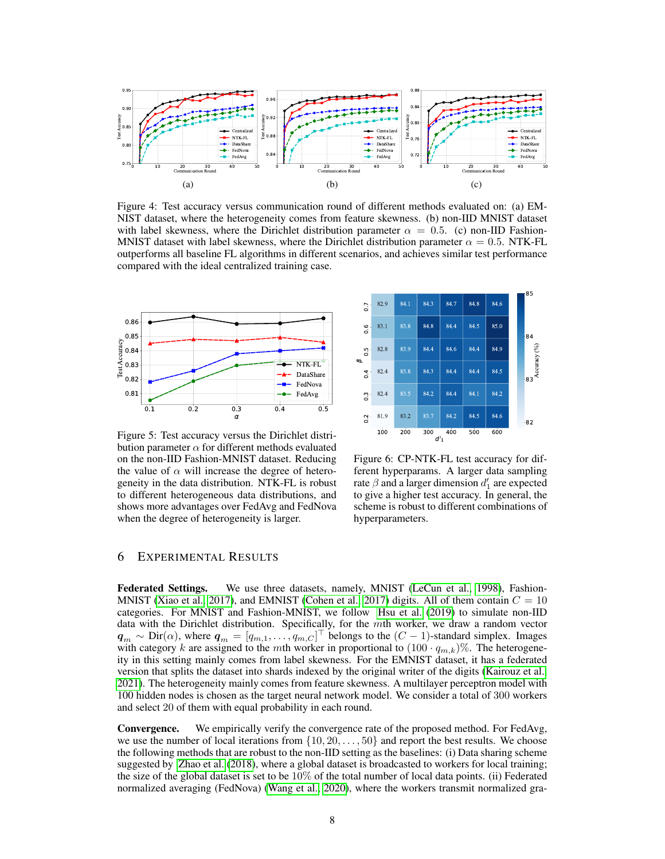<span id="page-7-0"></span>

Figure 4: Test accuracy versus communication round of different methods evaluated on: (a) EM-NIST dataset, where the heterogeneity comes from feature skewness. (b) non-IID MNIST dataset with label skewness, where the Dirichlet distribution parameter  $\alpha = 0.5$ . (c) non-IID Fashion-MNIST dataset with label skewness, where the Dirichlet distribution parameter  $\alpha = 0.5$ . NTK-FL outperforms all baseline FL algorithms in different scenarios, and achieves similar test performance compared with the ideal centralized training case.

<span id="page-7-1"></span>

Figure 5: Test accuracy versus the Dirichlet distribution parameter  $\alpha$  for different methods evaluated on the non-IID Fashion-MNIST dataset. Reducing the value of  $\alpha$  will increase the degree of heterogeneity in the data distribution. NTK-FL is robust to different heterogeneous data distributions, and shows more advantages over FedAvg and FedNova when the degree of heterogeneity is larger.



Figure 6: CP-NTK-FL test accuracy for different hyperparams. A larger data sampling rate  $\beta$  and a larger dimension  $d_1$  are expected to give a higher test accuracy. In general, the scheme is robust to different combinations of hyperparameters.

## 6 EXPERIMENTAL RESULTS

Federated Settings. We use three datasets, namely, MNIST [\(LeCun et al., 1998\)](#page-10-17), Fashion-MNIST [\(Xiao et al., 2017\)](#page-11-3), and EMNIST [\(Cohen et al., 2017\)](#page-9-14) digits. All of them contain  $C = 10$ categories. For MNIST and Fashion-MNIST, we follow [Hsu et al.](#page-9-15) [\(2019\)](#page-9-15) to simulate non-IID data with the Dirichlet distribution. Specifically, for the mth worker, we draw a random vector  $q_m \sim \text{Dir}(\alpha)$ , where  $q_m = [q_{m,1}, \ldots, q_{m,C}]^\top$  belongs to the  $(C-1)$ -standard simplex. Images with category k are assigned to the mth worker in proportional to  $(100 \cdot q_{m,k})\%$ . The heterogeneity in this setting mainly comes from label skewness. For the EMNIST dataset, it has a federated version that splits the dataset into shards indexed by the original writer of the digits [\(Kairouz et al.,](#page-9-0) [2021\)](#page-9-0). The heterogeneity mainly comes from feature skewness. A multilayer perceptron model with 100 hidden nodes is chosen as the target neural network model. We consider a total of 300 workers and select 20 of them with equal probability in each round.

Convergence. We empirically verify the convergence rate of the proposed method. For FedAvg, we use the number of local iterations from  $\{10, 20, \ldots, 50\}$  and report the best results. We choose the following methods that are robust to the non-IID setting as the baselines: (i) Data sharing scheme suggested by [Zhao et al.](#page-11-0) [\(2018\)](#page-11-0), where a global dataset is broadcasted to workers for local training; the size of the global dataset is set to be  $10\%$  of the total number of local data points. (ii) Federated normalized averaging (FedNova) [\(Wang et al., 2020\)](#page-10-2), where the workers transmit normalized gra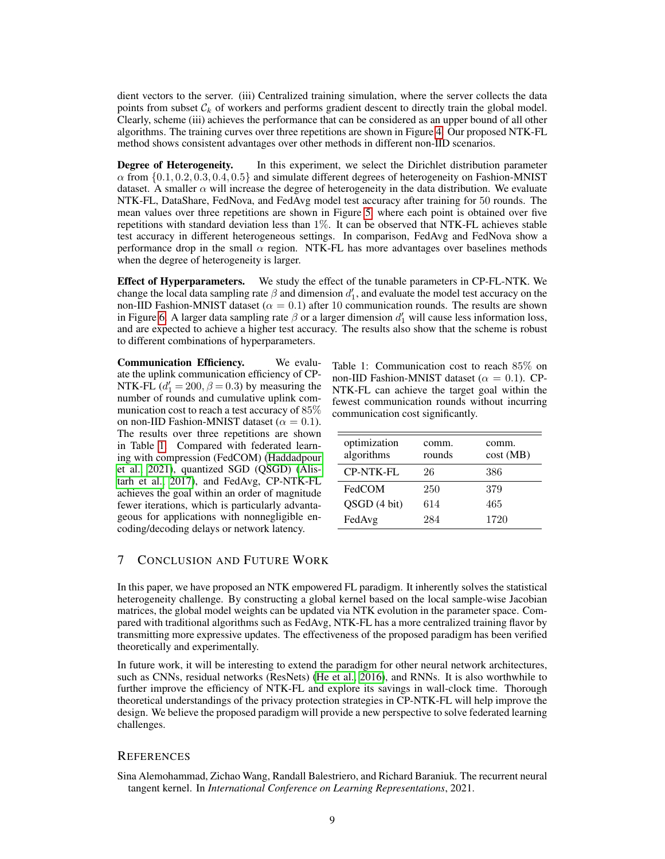dient vectors to the server. (iii) Centralized training simulation, where the server collects the data points from subset  $C_k$  of workers and performs gradient descent to directly train the global model. Clearly, scheme (iii) achieves the performance that can be considered as an upper bound of all other algorithms. The training curves over three repetitions are shown in Figure [4.](#page-7-0) Our proposed NTK-FL method shows consistent advantages over other methods in different non-IID scenarios.

**Degree of Heterogeneity.** In this experiment, we select the Dirichlet distribution parameter  $\alpha$  from  $\{0.1, 0.2, 0.3, 0.4, 0.5\}$  and simulate different degrees of heterogeneity on Fashion-MNIST dataset. A smaller  $\alpha$  will increase the degree of heterogeneity in the data distribution. We evaluate NTK-FL, DataShare, FedNova, and FedAvg model test accuracy after training for 50 rounds. The mean values over three repetitions are shown in Figure [5,](#page-7-1) where each point is obtained over five repetitions with standard deviation less than 1%. It can be observed that NTK-FL achieves stable test accuracy in different heterogeneous settings. In comparison, FedAvg and FedNova show a performance drop in the small  $\alpha$  region. NTK-FL has more advantages over baselines methods when the degree of heterogeneity is larger.

Effect of Hyperparameters. We study the effect of the tunable parameters in CP-FL-NTK. We change the local data sampling rate  $\beta$  and dimension  $d'_1$ , and evaluate the model test accuracy on the non-IID Fashion-MNIST dataset ( $\alpha = 0.1$ ) after 10 communication rounds. The results are shown in Figure [6.](#page-7-1) A larger data sampling rate  $\beta$  or a larger dimension  $d_1'$  will cause less information loss, and are expected to achieve a higher test accuracy. The results also show that the scheme is robust to different combinations of hyperparameters.

Communication Efficiency. We evaluate the uplink communication efficiency of CP-NTK-FL  $(d'_1 = 200, \beta = 0.3)$  by measuring the number of rounds and cumulative uplink communication cost to reach a test accuracy of 85% on non-IID Fashion-MNIST dataset ( $\alpha = 0.1$ ). The results over three repetitions are shown in Table [1.](#page-8-1) Compared with federated learning with compression (FedCOM) [\(Haddadpour](#page-9-3) [et al., 2021\)](#page-9-3), quantized SGD (QSGD) [\(Alis](#page-9-16)[tarh et al., 2017\)](#page-9-16), and FedAvg, CP-NTK-FL achieves the goal within an order of magnitude fewer iterations, which is particularly advantageous for applications with nonnegligible encoding/decoding delays or network latency.

<span id="page-8-1"></span>Table 1: Communication cost to reach 85% on non-IID Fashion-MNIST dataset ( $\alpha = 0.1$ ). CP-NTK-FL can achieve the target goal within the fewest communication rounds without incurring communication cost significantly.

| optimization<br>algorithms | comm.<br>rounds | comm.<br>cost(MB) |
|----------------------------|-----------------|-------------------|
| <b>CP-NTK-FL</b>           | 26              | 386               |
| FedCOM                     | 250             | 379               |
| QSGD (4 bit)               | 614             | 465               |
| FedAvg                     | 284             | 1720              |

## 7 CONCLUSION AND FUTURE WORK

In this paper, we have proposed an NTK empowered FL paradigm. It inherently solves the statistical heterogeneity challenge. By constructing a global kernel based on the local sample-wise Jacobian matrices, the global model weights can be updated via NTK evolution in the parameter space. Compared with traditional algorithms such as FedAvg, NTK-FL has a more centralized training flavor by transmitting more expressive updates. The effectiveness of the proposed paradigm has been verified theoretically and experimentally.

In future work, it will be interesting to extend the paradigm for other neural network architectures, such as CNNs, residual networks (ResNets) [\(He et al., 2016\)](#page-9-17), and RNNs. It is also worthwhile to further improve the efficiency of NTK-FL and explore its savings in wall-clock time. Thorough theoretical understandings of the privacy protection strategies in CP-NTK-FL will help improve the design. We believe the proposed paradigm will provide a new perspective to solve federated learning challenges.

## **REFERENCES**

<span id="page-8-0"></span>Sina Alemohammad, Zichao Wang, Randall Balestriero, and Richard Baraniuk. The recurrent neural tangent kernel. In *International Conference on Learning Representations*, 2021.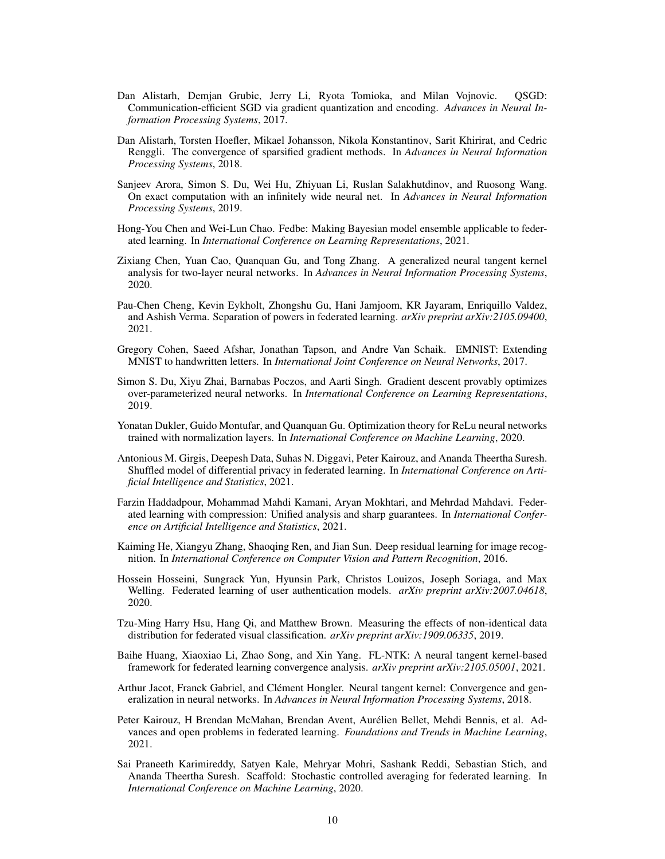- <span id="page-9-16"></span>Dan Alistarh, Demjan Grubic, Jerry Li, Ryota Tomioka, and Milan Vojnovic. QSGD: Communication-efficient SGD via gradient quantization and encoding. *Advances in Neural Information Processing Systems*, 2017.
- <span id="page-9-11"></span>Dan Alistarh, Torsten Hoefler, Mikael Johansson, Nikola Konstantinov, Sarit Khirirat, and Cedric Renggli. The convergence of sparsified gradient methods. In *Advances in Neural Information Processing Systems*, 2018.
- <span id="page-9-6"></span>Sanjeev Arora, Simon S. Du, Wei Hu, Zhiyuan Li, Ruslan Salakhutdinov, and Ruosong Wang. On exact computation with an infinitely wide neural net. In *Advances in Neural Information Processing Systems*, 2019.
- <span id="page-9-1"></span>Hong-You Chen and Wei-Lun Chao. Fedbe: Making Bayesian model ensemble applicable to federated learning. In *International Conference on Learning Representations*, 2021.
- <span id="page-9-5"></span>Zixiang Chen, Yuan Cao, Quanquan Gu, and Tong Zhang. A generalized neural tangent kernel analysis for two-layer neural networks. In *Advances in Neural Information Processing Systems*, 2020.
- <span id="page-9-8"></span>Pau-Chen Cheng, Kevin Eykholt, Zhongshu Gu, Hani Jamjoom, KR Jayaram, Enriquillo Valdez, and Ashish Verma. Separation of powers in federated learning. *arXiv preprint arXiv:2105.09400*, 2021.
- <span id="page-9-14"></span>Gregory Cohen, Saeed Afshar, Jonathan Tapson, and Andre Van Schaik. EMNIST: Extending MNIST to handwritten letters. In *International Joint Conference on Neural Networks*, 2017.
- <span id="page-9-12"></span>Simon S. Du, Xiyu Zhai, Barnabas Poczos, and Aarti Singh. Gradient descent provably optimizes over-parameterized neural networks. In *International Conference on Learning Representations*, 2019.
- <span id="page-9-13"></span>Yonatan Dukler, Guido Montufar, and Quanquan Gu. Optimization theory for ReLu neural networks trained with normalization layers. In *International Conference on Machine Learning*, 2020.
- <span id="page-9-7"></span>Antonious M. Girgis, Deepesh Data, Suhas N. Diggavi, Peter Kairouz, and Ananda Theertha Suresh. Shuffled model of differential privacy in federated learning. In *International Conference on Artificial Intelligence and Statistics*, 2021.
- <span id="page-9-3"></span>Farzin Haddadpour, Mohammad Mahdi Kamani, Aryan Mokhtari, and Mehrdad Mahdavi. Federated learning with compression: Unified analysis and sharp guarantees. In *International Conference on Artificial Intelligence and Statistics*, 2021.
- <span id="page-9-17"></span>Kaiming He, Xiangyu Zhang, Shaoqing Ren, and Jian Sun. Deep residual learning for image recognition. In *International Conference on Computer Vision and Pattern Recognition*, 2016.
- <span id="page-9-10"></span>Hossein Hosseini, Sungrack Yun, Hyunsin Park, Christos Louizos, Joseph Soriaga, and Max Welling. Federated learning of user authentication models. *arXiv preprint arXiv:2007.04618*, 2020.
- <span id="page-9-15"></span>Tzu-Ming Harry Hsu, Hang Qi, and Matthew Brown. Measuring the effects of non-identical data distribution for federated visual classification. *arXiv preprint arXiv:1909.06335*, 2019.
- <span id="page-9-9"></span>Baihe Huang, Xiaoxiao Li, Zhao Song, and Xin Yang. FL-NTK: A neural tangent kernel-based framework for federated learning convergence analysis. *arXiv preprint arXiv:2105.05001*, 2021.
- <span id="page-9-4"></span>Arthur Jacot, Franck Gabriel, and Clément Hongler. Neural tangent kernel: Convergence and generalization in neural networks. In *Advances in Neural Information Processing Systems*, 2018.
- <span id="page-9-0"></span>Peter Kairouz, H Brendan McMahan, Brendan Avent, Aurelien Bellet, Mehdi Bennis, et al. Ad- ´ vances and open problems in federated learning. *Foundations and Trends in Machine Learning*, 2021.
- <span id="page-9-2"></span>Sai Praneeth Karimireddy, Satyen Kale, Mehryar Mohri, Sashank Reddi, Sebastian Stich, and Ananda Theertha Suresh. Scaffold: Stochastic controlled averaging for federated learning. In *International Conference on Machine Learning*, 2020.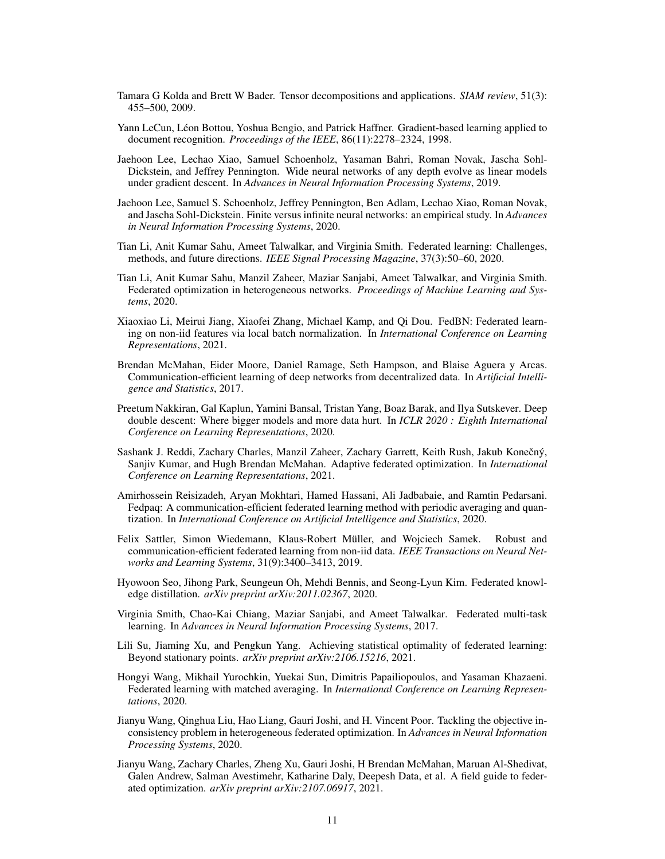- <span id="page-10-14"></span>Tamara G Kolda and Brett W Bader. Tensor decompositions and applications. *SIAM review*, 51(3): 455–500, 2009.
- <span id="page-10-17"></span>Yann LeCun, Léon Bottou, Yoshua Bengio, and Patrick Haffner. Gradient-based learning applied to document recognition. *Proceedings of the IEEE*, 86(11):2278–2324, 1998.
- <span id="page-10-6"></span>Jaehoon Lee, Lechao Xiao, Samuel Schoenholz, Yasaman Bahri, Roman Novak, Jascha Sohl-Dickstein, and Jeffrey Pennington. Wide neural networks of any depth evolve as linear models under gradient descent. In *Advances in Neural Information Processing Systems*, 2019.
- <span id="page-10-7"></span>Jaehoon Lee, Samuel S. Schoenholz, Jeffrey Pennington, Ben Adlam, Lechao Xiao, Roman Novak, and Jascha Sohl-Dickstein. Finite versus infinite neural networks: an empirical study. In *Advances in Neural Information Processing Systems*, 2020.
- <span id="page-10-1"></span>Tian Li, Anit Kumar Sahu, Ameet Talwalkar, and Virginia Smith. Federated learning: Challenges, methods, and future directions. *IEEE Signal Processing Magazine*, 37(3):50–60, 2020.
- <span id="page-10-4"></span>Tian Li, Anit Kumar Sahu, Manzil Zaheer, Maziar Sanjabi, Ameet Talwalkar, and Virginia Smith. Federated optimization in heterogeneous networks. *Proceedings of Machine Learning and Systems*, 2020.
- <span id="page-10-12"></span>Xiaoxiao Li, Meirui Jiang, Xiaofei Zhang, Michael Kamp, and Qi Dou. FedBN: Federated learning on non-iid features via local batch normalization. In *International Conference on Learning Representations*, 2021.
- <span id="page-10-0"></span>Brendan McMahan, Eider Moore, Daniel Ramage, Seth Hampson, and Blaise Aguera y Arcas. Communication-efficient learning of deep networks from decentralized data. In *Artificial Intelligence and Statistics*, 2017.
- <span id="page-10-15"></span>Preetum Nakkiran, Gal Kaplun, Yamini Bansal, Tristan Yang, Boaz Barak, and Ilya Sutskever. Deep double descent: Where bigger models and more data hurt. In *ICLR 2020 : Eighth International Conference on Learning Representations*, 2020.
- <span id="page-10-5"></span>Sashank J. Reddi, Zachary Charles, Manzil Zaheer, Zachary Garrett, Keith Rush, Jakub Konečný, Sanjiv Kumar, and Hugh Brendan McMahan. Adaptive federated optimization. In *International Conference on Learning Representations*, 2021.
- <span id="page-10-8"></span>Amirhossein Reisizadeh, Aryan Mokhtari, Hamed Hassani, Ali Jadbabaie, and Ramtin Pedarsani. Fedpaq: A communication-efficient federated learning method with periodic averaging and quantization. In *International Conference on Artificial Intelligence and Statistics*, 2020.
- <span id="page-10-9"></span>Felix Sattler, Simon Wiedemann, Klaus-Robert Müller, and Wojciech Samek. Robust and communication-efficient federated learning from non-iid data. *IEEE Transactions on Neural Networks and Learning Systems*, 31(9):3400–3413, 2019.
- <span id="page-10-11"></span>Hyowoon Seo, Jihong Park, Seungeun Oh, Mehdi Bennis, and Seong-Lyun Kim. Federated knowledge distillation. *arXiv preprint arXiv:2011.02367*, 2020.
- <span id="page-10-10"></span>Virginia Smith, Chao-Kai Chiang, Maziar Sanjabi, and Ameet Talwalkar. Federated multi-task learning. In *Advances in Neural Information Processing Systems*, 2017.
- <span id="page-10-13"></span>Lili Su, Jiaming Xu, and Pengkun Yang. Achieving statistical optimality of federated learning: Beyond stationary points. *arXiv preprint arXiv:2106.15216*, 2021.
- <span id="page-10-3"></span>Hongyi Wang, Mikhail Yurochkin, Yuekai Sun, Dimitris Papailiopoulos, and Yasaman Khazaeni. Federated learning with matched averaging. In *International Conference on Learning Representations*, 2020.
- <span id="page-10-2"></span>Jianyu Wang, Qinghua Liu, Hao Liang, Gauri Joshi, and H. Vincent Poor. Tackling the objective inconsistency problem in heterogeneous federated optimization. In *Advances in Neural Information Processing Systems*, 2020.
- <span id="page-10-16"></span>Jianyu Wang, Zachary Charles, Zheng Xu, Gauri Joshi, H Brendan McMahan, Maruan Al-Shedivat, Galen Andrew, Salman Avestimehr, Katharine Daly, Deepesh Data, et al. A field guide to federated optimization. *arXiv preprint arXiv:2107.06917*, 2021.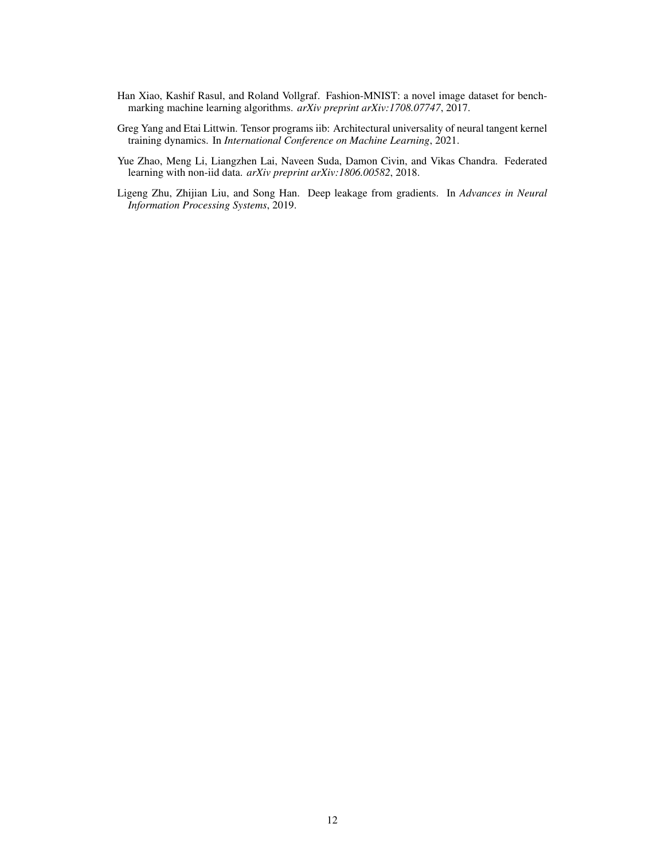- <span id="page-11-3"></span>Han Xiao, Kashif Rasul, and Roland Vollgraf. Fashion-MNIST: a novel image dataset for benchmarking machine learning algorithms. *arXiv preprint arXiv:1708.07747*, 2017.
- <span id="page-11-1"></span>Greg Yang and Etai Littwin. Tensor programs iib: Architectural universality of neural tangent kernel training dynamics. In *International Conference on Machine Learning*, 2021.
- <span id="page-11-0"></span>Yue Zhao, Meng Li, Liangzhen Lai, Naveen Suda, Damon Civin, and Vikas Chandra. Federated learning with non-iid data. *arXiv preprint arXiv:1806.00582*, 2018.
- <span id="page-11-2"></span>Ligeng Zhu, Zhijian Liu, and Song Han. Deep leakage from gradients. In *Advances in Neural Information Processing Systems*, 2019.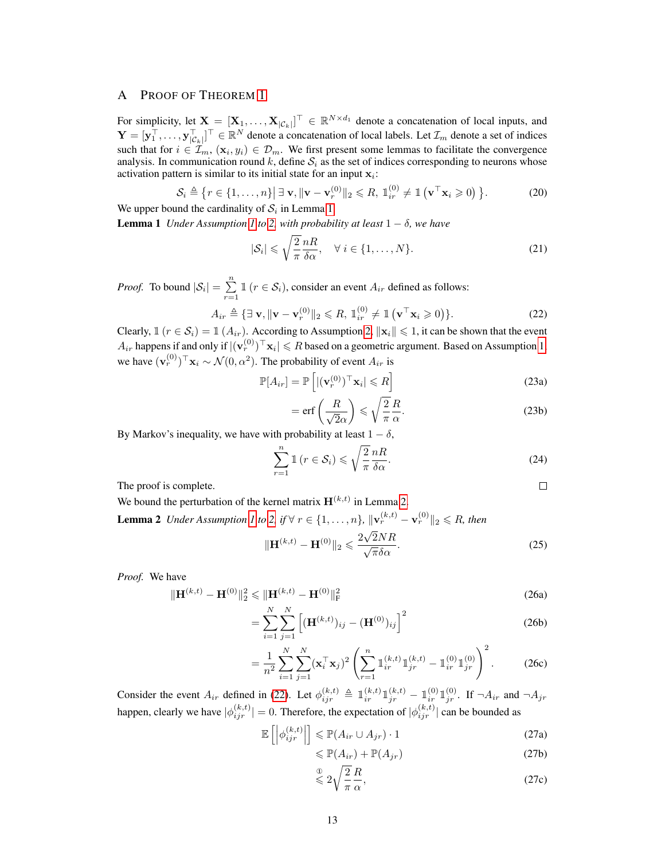## <span id="page-12-0"></span>A PROOF OF THEOREM [1](#page-6-2)

For simplicity, let  $\mathbf{X} = [\mathbf{X}_1, \dots, \mathbf{X}_{|\mathcal{C}_k|}]^\top \in \mathbb{R}^{N \times d_1}$  denote a concatenation of local inputs, and  $\mathbf{Y} = [\mathbf{y}_1^\top, \dots, \mathbf{y}_{|\mathcal{C}_k|}^\top]^\top \in \mathbb{R}^N$  denote a concatenation of local labels. Let  $\mathcal{I}_m$  denote a set of indices such that for  $i \in \mathcal{I}_m$ ,  $(\mathbf{x}_i, y_i) \in \mathcal{D}_m$ . We first present some lemmas to facilitate the convergence analysis. In communication round k, define  $S_i$  as the set of indices corresponding to neurons whose activation pattern is similar to its initial state for an input  $x_i$ :

$$
\mathcal{S}_i \triangleq \left\{ r \in \{1, \dots, n\} \middle| \exists \mathbf{v}, \|\mathbf{v} - \mathbf{v}_r^{(0)}\|_2 \leq R, \mathbb{1}_{ir}^{(0)} \neq \mathbb{1} \left( \mathbf{v}^\top \mathbf{x}_i \geq 0 \right) \right\}.
$$
 (20)

We upper bound the cardinality of  $S_i$  in Lemma [1.](#page-12-1)

<span id="page-12-1"></span>**Lemma [1](#page-6-0)** *Under Assumption* 1 *to* [2,](#page-6-5) *with probability at least*  $1 - \delta$ *, we have* 

$$
|\mathcal{S}_i| \leqslant \sqrt{\frac{2}{\pi}} \frac{nR}{\delta \alpha}, \quad \forall \ i \in \{1, \dots, N\}.
$$
 (21)

*Proof.* To bound  $|\mathcal{S}_i| = \sum_{i=1}^{n}$  $\sum_{r=1}^{8} \mathbb{1} (r \in \mathcal{S}_i)$ , consider an event  $A_{ir}$  defined as follows:

$$
A_{ir} \triangleq \{ \exists \mathbf{v}, \|\mathbf{v} - \mathbf{v}_r^{(0)}\|_2 \leq R, \mathbb{1}_{ir}^{(0)} \neq \mathbb{1} \left( \mathbf{v}^\top \mathbf{x}_i \geq 0 \right) \}. \tag{22}
$$

Clearly,  $\mathbb{1}$  ( $r \in \mathcal{S}_i$ ) =  $\mathbb{1}$  ( $A_{ir}$ ). According to Assumption [2,](#page-6-5)  $\|\mathbf{x}_i\| \leq 1$ , it can be shown that the event  $A_{ir}$  happens if and only if  $|(\mathbf{v}^{(0)}_r)^\top \mathbf{x}_i|\leqslant R$  based on a geometric argument. Based on Assumption [1,](#page-6-0) we have  $(\mathbf{v}_r^{(0)})^\top \mathbf{x}_i \sim \mathcal{N}(0, \alpha^2)$ . The probability of event  $A_{ir}$  is

$$
\mathbb{P}[A_{ir}] = \mathbb{P}\left[ |(\mathbf{v}_r^{(0)})^\top \mathbf{x}_i| \leq R \right]
$$
\n(23a)

<span id="page-12-6"></span>
$$
= \operatorname{erf}\left(\frac{R}{\sqrt{2}\alpha}\right) \leqslant \sqrt{\frac{2}{\pi}} \frac{R}{\alpha}.
$$
 (23b)

By Markov's inequality, we have with probability at least  $1 - \delta$ ,

$$
\sum_{r=1}^{n} \mathbb{1} \left( r \in \mathcal{S}_{i} \right) \leqslant \sqrt{\frac{2}{\pi}} \frac{nR}{\delta \alpha}.
$$
\n(24)

<span id="page-12-5"></span><span id="page-12-4"></span><span id="page-12-3"></span> $\Box$ 

The proof is complete.

We bound the perturbation of the kernel matrix  $H^{(k,t)}$  in Lemma [2.](#page-12-2)

<span id="page-12-2"></span>**Lemma 2** *Under Assumption [1](#page-6-0) to [2,](#page-6-5) if*  $\forall$   $r \in \{1, ..., n\}$ ,  $\|\mathbf{v}_r^{(k,t)} - \mathbf{v}_r^{(0)}\|_2 \le R$ , *then* 

$$
\|\mathbf{H}^{(k,t)} - \mathbf{H}^{(0)}\|_2 \leqslant \frac{2\sqrt{2NR}}{\sqrt{\pi}\delta\alpha}.\tag{25}
$$

*Proof.* We have

$$
\|\mathbf{H}^{(k,t)} - \mathbf{H}^{(0)}\|_{2}^{2} \le \|\mathbf{H}^{(k,t)} - \mathbf{H}^{(0)}\|_{\mathrm{F}}^{2}
$$
\n
$$
\le \sum_{N} N_{N} \le 2
$$
\n(26a)

$$
=\sum_{i=1}^{N} \sum_{j=1}^{N} \left[ (\mathbf{H}^{(k,t)})_{ij} - (\mathbf{H}^{(0)})_{ij} \right]^2
$$
 (26b)

$$
= \frac{1}{n^2} \sum_{i=1}^{N} \sum_{j=1}^{N} (\mathbf{x}_i^{\top} \mathbf{x}_j)^2 \left( \sum_{r=1}^{n} \mathbb{1}_{ir}^{(k,t)} \mathbb{1}_{jr}^{(k,t)} - \mathbb{1}_{ir}^{(0)} \mathbb{1}_{jr}^{(0)} \right)^2.
$$
 (26c)

Consider the event  $A_{ir}$  defined in [\(22\)](#page-12-3). Let  $\phi_{ijr}^{(k,t)} \triangleq \mathbb{I}_{ir}^{(k,t)} \mathbb{1}_{jr}^{(k,t)} - \mathbb{1}_{ir}^{(0)} \mathbb{1}_{jr}^{(0)}$ . If  $\neg A_{ir}$  and  $\neg A_{jr}$ happen, clearly we have  $|\phi_{ijr}^{(k,t)}| = 0$ . Therefore, the expectation of  $|\phi_{ijr}^{(k,t)}|$  can be bounded as

$$
\mathbb{E}\left[\left|\phi_{ijr}^{(k,t)}\right|\right] \leq \mathbb{P}(A_{ir} \cup A_{jr}) \cdot 1\tag{27a}
$$

$$
\leqslant \mathbb{P}(A_{ir}) + \mathbb{P}(A_{jr}) \tag{27b}
$$

$$
\stackrel{\circ}{\leq} 2\sqrt{\frac{2}{\pi}}\frac{R}{\alpha},\tag{27c}
$$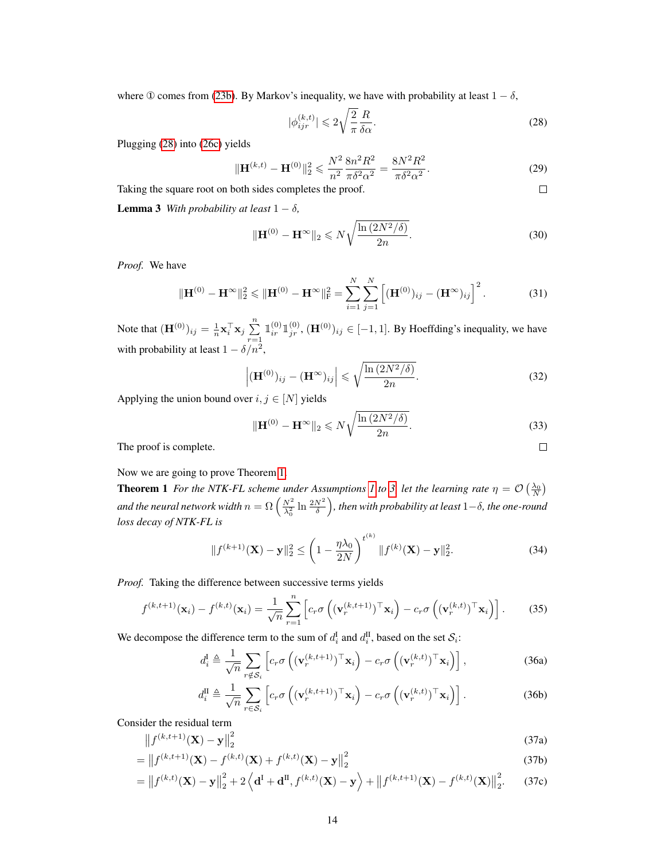where ① comes from [\(23b\)](#page-12-4). By Markov's inequality, we have with probability at least  $1 - \delta$ ,

$$
|\phi_{ijr}^{(k,t)}| \leq 2\sqrt{\frac{2}{\pi}} \frac{R}{\delta \alpha}.
$$
\n(28)

<span id="page-13-0"></span> $\Box$ 

Plugging [\(28\)](#page-13-0) into [\(26c\)](#page-12-5) yields

$$
\|\mathbf{H}^{(k,t)} - \mathbf{H}^{(0)}\|_{2}^{2} \leqslant \frac{N^{2}}{n^{2}} \frac{8n^{2}R^{2}}{\pi \delta^{2} \alpha^{2}} = \frac{8N^{2}R^{2}}{\pi \delta^{2} \alpha^{2}}.
$$
 (29)

Taking the square root on both sides completes the proof.

<span id="page-13-1"></span>**Lemma 3** *With probability at least*  $1 - \delta$ *,* 

$$
\|\mathbf{H}^{(0)} - \mathbf{H}^{\infty}\|_{2} \leqslant N\sqrt{\frac{\ln\left(2N^{2}/\delta\right)}{2n}}.
$$
\n(30)

*Proof.* We have

$$
\|\mathbf{H}^{(0)} - \mathbf{H}^{\infty}\|_{2}^{2} \le \|\mathbf{H}^{(0)} - \mathbf{H}^{\infty}\|_{\mathrm{F}}^{2} = \sum_{i=1}^{N} \sum_{j=1}^{N} \left[ (\mathbf{H}^{(0)})_{ij} - (\mathbf{H}^{\infty})_{ij} \right]^{2}.
$$
 (31)

Note that  $(\mathbf{H}^{(0)})_{ij} = \frac{1}{n} \mathbf{x}_i^{\top} \mathbf{x}_j \sum_{i=1}^{n}$  $r=1$  $\mathbb{1}_{ir}^{(0)} \mathbb{1}_{jr}^{(0)}$ ,  $(\mathbf{H}^{(0)})_{ij} \in [-1,1]$ . By Hoeffding's inequality, we have with probability at least  $1 - \delta/n^2$ ,

$$
\left| (\mathbf{H}^{(0)})_{ij} - (\mathbf{H}^{\infty})_{ij} \right| \leq \sqrt{\frac{\ln\left(2N^2/\delta\right)}{2n}}.
$$
\n(32)

Applying the union bound over  $i, j \in [N]$  yields

$$
\|\mathbf{H}^{(0)} - \mathbf{H}^{\infty}\|_{2} \leq N \sqrt{\frac{\ln\left(2N^{2}/\delta\right)}{2n}}.
$$
\n(33)

The proof is complete.

Now we are going to prove Theorem [1.](#page-6-2)

**Theorem [1](#page-6-0)** For the NTK-FL scheme under Assumptions 1 to [3,](#page-6-1) let the learning rate  $\eta = \mathcal{O}\left(\frac{\lambda_0}{N}\right)$ and the neural network width  $n=\Omega\left(\frac{N^2}{\lambda_0^2}\ln\frac{2N^2}{\delta}\right)$ , then with probability at least  $1-\delta$ , the one-round *loss decay of NTK-FL is*

$$
||f^{(k+1)}(\mathbf{X}) - \mathbf{y}||_2^2 \le \left(1 - \frac{\eta \lambda_0}{2N}\right)^{t^{(k)}} ||f^{(k)}(\mathbf{X}) - \mathbf{y}||_2^2.
$$
 (34)

*Proof.* Taking the difference between successive terms yields

$$
f^{(k,t+1)}(\mathbf{x}_i) - f^{(k,t)}(\mathbf{x}_i) = \frac{1}{\sqrt{n}} \sum_{r=1}^n \left[ c_r \sigma \left( (\mathbf{v}_r^{(k,t+1)})^\top \mathbf{x}_i \right) - c_r \sigma \left( (\mathbf{v}_r^{(k,t)})^\top \mathbf{x}_i \right) \right].
$$
 (35)

We decompose the difference term to the sum of  $d_i^{\text{I}}$  and  $d_i^{\text{II}}$ , based on the set  $\mathcal{S}_i$ :

$$
d_i^{\mathbf{I}} \triangleq \frac{1}{\sqrt{n}} \sum_{r \notin S_i} \left[ c_r \sigma \left( (\mathbf{v}_r^{(k,t+1)})^\top \mathbf{x}_i \right) - c_r \sigma \left( (\mathbf{v}_r^{(k,t)})^\top \mathbf{x}_i \right) \right],
$$
 (36a)

$$
d_i^{\text{II}} \triangleq \frac{1}{\sqrt{n}} \sum_{r \in \mathcal{S}_i} \left[ c_r \sigma \left( (\mathbf{v}_r^{(k,t+1)})^\top \mathbf{x}_i \right) - c_r \sigma \left( (\mathbf{v}_r^{(k,t)})^\top \mathbf{x}_i \right) \right]. \tag{36b}
$$

Consider the residual term

$$
\left\| f^{(k,t+1)}(\mathbf{X}) - \mathbf{y} \right\|_{2}^{2} \tag{37a}
$$

$$
= \|f^{(k,t+1)}(\mathbf{X}) - f^{(k,t)}(\mathbf{X}) + f^{(k,t)}(\mathbf{X}) - \mathbf{y}\|_2^2
$$
\n(37b)

$$
= ||f^{(k,t)}(\mathbf{X}) - \mathbf{y}||_2^2 + 2\left\langle \mathbf{d}^{\mathrm{I}} + \mathbf{d}^{\mathrm{II}}, f^{(k,t)}(\mathbf{X}) - \mathbf{y} \right\rangle + ||f^{(k,t+1)}(\mathbf{X}) - f^{(k,t)}(\mathbf{X})||_2^2.
$$
 (37c)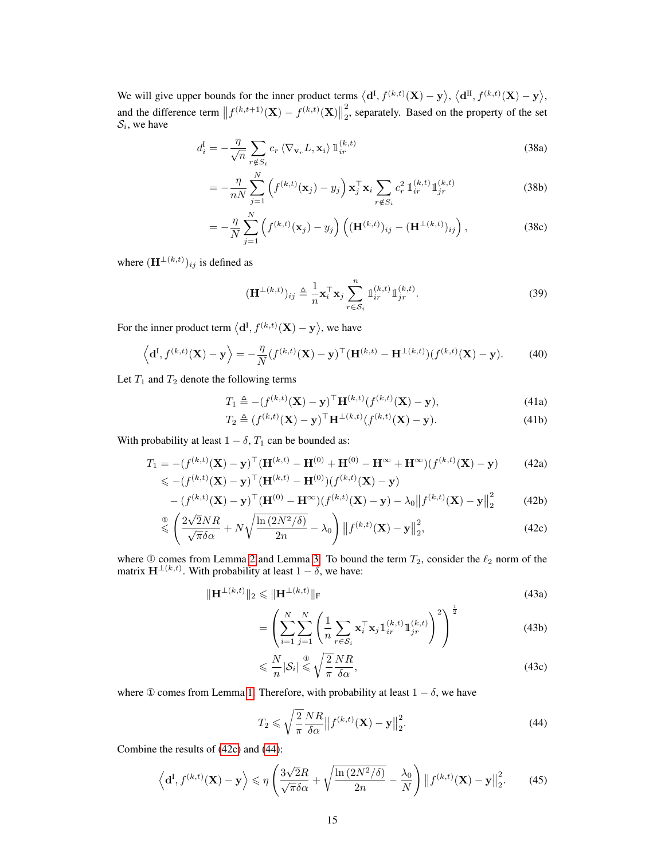We will give upper bounds for the inner product terms  $\langle \mathbf{d}^{\text{I}}, f^{(k,t)}(\mathbf{X}) - \mathbf{y} \rangle$ ,  $\langle \mathbf{d}^{\text{II}}, f^{(k,t)}(\mathbf{X}) - \mathbf{y} \rangle$ , and the difference term  $|| f^{(k,t+1)}(\mathbf{X}) - f^{(k,t)}(\mathbf{X}) ||$ 2  $\frac{2}{2}$ , separately. Based on the property of the set  $S_i$ , we have

$$
d_i^{\mathbf{I}} = -\frac{\eta}{\sqrt{n}} \sum_{r \notin S_i} c_r \langle \nabla_{\mathbf{v}_r} L, \mathbf{x}_i \rangle \mathbb{1}_{ir}^{(k,t)}
$$
(38a)

$$
= -\frac{\eta}{nN} \sum_{j=1}^{N} \left( f^{(k,t)}(\mathbf{x}_j) - y_j \right) \mathbf{x}_j^{\top} \mathbf{x}_i \sum_{r \notin S_i} c_r^2 \, \mathbb{1}_{ir}^{(k,t)} \mathbb{1}_{jr}^{(k,t)}
$$
(38b)

$$
= -\frac{\eta}{N} \sum_{j=1}^{N} \left( f^{(k,t)}(\mathbf{x}_j) - y_j \right) \left( (\mathbf{H}^{(k,t)})_{ij} - (\mathbf{H}^{\perp (k,t)})_{ij} \right), \tag{38c}
$$

where  $(\mathbf{H}^{\perp(k,t)})_{ij}$  is defined as

$$
(\mathbf{H}^{\perp(k,t)})_{ij} \triangleq \frac{1}{n} \mathbf{x}_i^{\top} \mathbf{x}_j \sum_{r \in \mathcal{S}_i}^{n} \mathbb{1}_{ir}^{(k,t)} \mathbb{1}_{jr}^{(k,t)}.
$$
 (39)

For the inner product term  $\langle \mathbf{d}^{\text{I}}, f^{(k,t)}(\mathbf{X}) - \mathbf{y} \rangle$ , we have

$$
\left\langle \mathbf{d}^{I}, f^{(k,t)}(\mathbf{X}) - \mathbf{y} \right\rangle = -\frac{\eta}{N} (f^{(k,t)}(\mathbf{X}) - \mathbf{y})^{\top} (\mathbf{H}^{(k,t)} - \mathbf{H}^{\perp(k,t)}) (f^{(k,t)}(\mathbf{X}) - \mathbf{y}). \tag{40}
$$

Let  $T_1$  and  $T_2$  denote the following terms

$$
T_1 \triangleq -(f^{(k,t)}(\mathbf{X}) - \mathbf{y})^\top \mathbf{H}^{(k,t)}(f^{(k,t)}(\mathbf{X}) - \mathbf{y}),\tag{41a}
$$

$$
T_2 \triangleq (f^{(k,t)}(\mathbf{X}) - \mathbf{y})^\top \mathbf{H}^{\perp(k,t)}(f^{(k,t)}(\mathbf{X}) - \mathbf{y}).
$$
\n(41b)

With probability at least  $1 - \delta$ ,  $T_1$  can be bounded as:

$$
T_1 = -(f^{(k,t)}(\mathbf{X}) - \mathbf{y})^\top (\mathbf{H}^{(k,t)} - \mathbf{H}^{(0)} + \mathbf{H}^{(0)} - \mathbf{H}^\infty + \mathbf{H}^\infty)(f^{(k,t)}(\mathbf{X}) - \mathbf{y})
$$
(42a)  

$$
\leq -(f^{(k,t)}(\mathbf{X}) - \mathbf{y})^\top (\mathbf{H}^{(k,t)} - \mathbf{H}^{(0)})(f^{(k,t)}(\mathbf{X}) - \mathbf{y})
$$

$$
-(f^{(k,t)}(\mathbf{X}) - \mathbf{y})^{\top}(\mathbf{H}^{(0)} - \mathbf{H}^{\infty})(f^{(k,t)}(\mathbf{X}) - \mathbf{y}) - \lambda_0 \|f^{(k,t)}(\mathbf{X}) - \mathbf{y}\|_2^2
$$
(42b)

$$
\stackrel{\circ}{\leq} \left( \frac{2\sqrt{2}NR}{\sqrt{\pi\delta\alpha}} + N\sqrt{\frac{\ln\left(2N^2/\delta\right)}{2n}} - \lambda_0 \right) \left\| f^{(k,t)}(\mathbf{X}) - \mathbf{y} \right\|_2^2, \tag{42c}
$$

where  $\Phi$  comes from Lemma [2](#page-12-2) and Lemma [3.](#page-13-1) To bound the term  $T_2$ , consider the  $\ell_2$  norm of the matrix  $\mathbf{H}^{\perp(k,t)}$ . With probability at least  $1-\delta$ , we have:

$$
\|\mathbf{H}^{\perp(k,t)}\|_{2} \le \|\mathbf{H}^{\perp(k,t)}\|_{F}
$$
\n(43a)

$$
= \left( \sum_{i=1}^{N} \sum_{j=1}^{N} \left( \frac{1}{n} \sum_{r \in S_i} \mathbf{x}_i^{\top} \mathbf{x}_j \mathbb{1}_{ir}^{(k,t)} \mathbb{1}_{jr}^{(k,t)} \right)^2 \right)^{\frac{1}{2}}
$$
(43b)

$$
\leqslant \frac{N}{n} |\mathcal{S}_i| \leqslant \sqrt{\frac{2}{\pi}} \frac{NR}{\delta \alpha},\tag{43c}
$$

where ① comes from Lemma [1.](#page-12-1) Therefore, with probability at least  $1 - \delta$ , we have

<span id="page-14-1"></span><span id="page-14-0"></span>
$$
T_2 \leqslant \sqrt{\frac{2}{\pi}} \frac{NR}{\delta \alpha} \left\| f^{(k,t)}(\mathbf{X}) - \mathbf{y} \right\|_2^2.
$$
 (44)

Combine the results of [\(42c\)](#page-12-5) and [\(44\)](#page-14-0):

$$
\left\langle \mathbf{d}^{I}, f^{(k,t)}(\mathbf{X}) - \mathbf{y} \right\rangle \leqslant \eta \left( \frac{3\sqrt{2}R}{\sqrt{\pi}\delta\alpha} + \sqrt{\frac{\ln\left(2N^{2}/\delta\right)}{2n}} - \frac{\lambda_{0}}{N} \right) \left\| f^{(k,t)}(\mathbf{X}) - \mathbf{y} \right\|_{2}^{2}.
$$
 (45)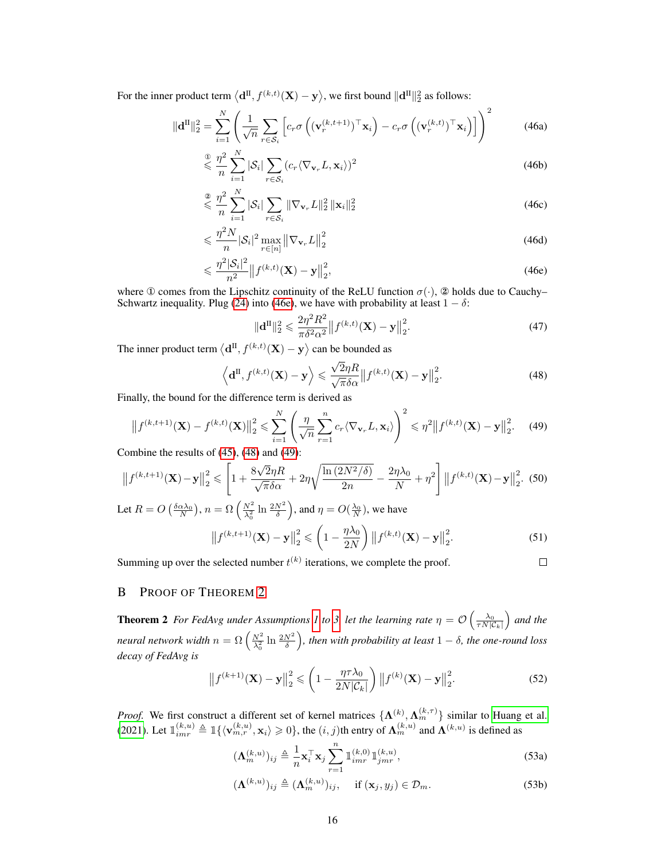For the inner product term  $\big\langle {\bf d}^{\rm II}, f^{(k,t)}({\bf X})-{\bf y}\big\rangle$ , we first bound  $\|{\bf d}^{\rm II}\|_2^2$  as follows:

$$
\|\mathbf{d}^{\mathrm{II}}\|_{2}^{2} = \sum_{i=1}^{N} \left( \frac{1}{\sqrt{n}} \sum_{r \in \mathcal{S}_{i}} \left[ c_{r} \sigma \left( (\mathbf{v}_{r}^{(k,t+1)})^{\top} \mathbf{x}_{i} \right) - c_{r} \sigma \left( (\mathbf{v}_{r}^{(k,t)})^{\top} \mathbf{x}_{i} \right) \right] \right)^{2}
$$
(46a)

$$
\leqslant \frac{\eta^2}{n} \sum_{i=1}^N |\mathcal{S}_i| \sum_{r \in \mathcal{S}_i} (c_r \langle \nabla_{\mathbf{v}_r} L, \mathbf{x}_i \rangle)^2
$$
\n(46b)

$$
\leqslant \frac{\eta^2}{n} \sum_{i=1}^N |\mathcal{S}_i| \sum_{r \in \mathcal{S}_i} \|\nabla_{\mathbf{v}_r} L\|_2^2 \, \|\mathbf{x}_i\|_2^2 \tag{46c}
$$

$$
\leqslant \frac{\eta^2 N}{n} |\mathcal{S}_i|^2 \max_{r \in [n]} \left\| \nabla_{\mathbf{v}_r} L \right\|_2^2 \tag{46d}
$$

$$
\leqslant \frac{\eta^2 |\mathcal{S}_i|^2}{n^2} \left\| f^{(k,t)}(\mathbf{X}) - \mathbf{y} \right\|_2^2,\tag{46e}
$$

where ① comes from the Lipschitz continuity of the ReLU function  $\sigma(\cdot)$ , ② holds due to Cauchy– Schwartz inequality. Plug [\(24\)](#page-12-6) into [\(46e\)](#page-15-1), we have with probability at least  $1 - \delta$ :

<span id="page-15-3"></span><span id="page-15-2"></span><span id="page-15-1"></span>
$$
\|\mathbf{d}^{\mathrm{II}}\|_{2}^{2} \leq \frac{2\eta^{2}R^{2}}{\pi\delta^{2}\alpha^{2}}\left\|f^{(k,t)}(\mathbf{X}) - \mathbf{y}\right\|_{2}^{2}.\tag{47}
$$

The inner product term  $\langle \mathbf{d}^{\text{II}}, f^{(k,t)}(\mathbf{X}) - \mathbf{y} \rangle$  can be bounded as

$$
\left\langle \mathbf{d}^{\mathrm{II}}, f^{(k,t)}(\mathbf{X}) - \mathbf{y} \right\rangle \leq \frac{\sqrt{2}\eta R}{\sqrt{\pi}\delta\alpha} \left\| f^{(k,t)}(\mathbf{X}) - \mathbf{y} \right\|_2^2.
$$
 (48)

Finally, the bound for the difference term is derived as

$$
\|f^{(k,t+1)}(\mathbf{X}) - f^{(k,t)}(\mathbf{X})\|_2^2 \le \sum_{i=1}^N \left(\frac{\eta}{\sqrt{n}} \sum_{r=1}^n c_r \langle \nabla_{\mathbf{v}_r} L, \mathbf{x}_i \rangle \right)^2 \le \eta^2 \|f^{(k,t)}(\mathbf{X}) - \mathbf{y}\|_2^2. \tag{49}
$$

Combine the results of  $(45)$ ,  $(48)$  and  $(49)$ :

$$
\left\|f^{(k,t+1)}(\mathbf{X}) - \mathbf{y}\right\|_{2}^{2} \leqslant \left[1 + \frac{8\sqrt{2}\eta R}{\sqrt{\pi}\delta\alpha} + 2\eta\sqrt{\frac{\ln\left(2N^{2}/\delta\right)}{2n}} - \frac{2\eta\lambda_{0}}{N} + \eta^{2}\right] \left\|f^{(k,t)}(\mathbf{X}) - \mathbf{y}\right\|_{2}^{2}.
$$
 (50)

Let 
$$
R = O\left(\frac{\delta \alpha \lambda_0}{N}\right)
$$
,  $n = \Omega\left(\frac{N^2}{\lambda_0^2} \ln \frac{2N^2}{\delta}\right)$ , and  $\eta = O(\frac{\lambda_0}{N})$ , we have  

$$
\left\|f^{(k,t+1)}(\mathbf{X}) - \mathbf{y}\right\|_2^2 \le \left(1 - \frac{\eta \lambda_0}{2N}\right) \left\|f^{(k,t)}(\mathbf{X}) - \mathbf{y}\right\|_2^2.
$$
 (51)

Summing up over the selected number  $t^{(k)}$  iterations, we complete the proof.

<span id="page-15-4"></span> $\Box$ 

## <span id="page-15-0"></span>B PROOF OF THEOREM [2](#page-6-3)

**Theorem 2** For FedAvg under Assumptions [1](#page-6-0) to [3,](#page-6-1) let the learning rate  $\eta = \mathcal{O}\left(\frac{\lambda_0}{\tau N|\mathcal{C}_k|}\right)$  and the neural network width  $n = \Omega\left(\frac{N^2}{\lambda_0^2} \ln \frac{2N^2}{\delta}\right)$ , then with probability at least  $1-\delta$ , the one-round loss *decay of FedAvg is*

$$
\left\|f^{(k+1)}(\mathbf{X}) - \mathbf{y}\right\|_2^2 \leqslant \left(1 - \frac{\eta \tau \lambda_0}{2N|\mathcal{C}_k|}\right) \left\|f^{(k)}(\mathbf{X}) - \mathbf{y}\right\|_2^2.
$$
 (52)

*Proof.* We first construct a different set of kernel matrices  $\{\Lambda^{(k)}, \Lambda_m^{(k,\tau)}\}$  similar to [Huang et al.](#page-9-9) [\(2021\)](#page-9-9). Let  $\mathbb{1}_{imr}^{(k,u)} \triangleq \mathbb{1}_{\{\langle \mathbf{v}_{m,r}^{(k,u)}, \mathbf{x}_i \rangle \geq 0\}}$ , the  $(i, j)$ th entry of  $\mathbf{\Lambda}_m^{(k,u)}$  and  $\mathbf{\Lambda}^{(k,u)}$  is defined as

$$
(\mathbf{\Lambda}_{m}^{(k,u)})_{ij} \triangleq \frac{1}{n} \mathbf{x}_{i}^{\top} \mathbf{x}_{j} \sum_{r=1}^{n} \mathbb{1}_{imr}^{(k,0)} \mathbb{1}_{jmr}^{(k,u)},
$$
\n(53a)

$$
(\mathbf{\Lambda}^{(k,u)})_{ij} \triangleq (\mathbf{\Lambda}_m^{(k,u)})_{ij}, \quad \text{if } (\mathbf{x}_j, y_j) \in \mathcal{D}_m. \tag{53b}
$$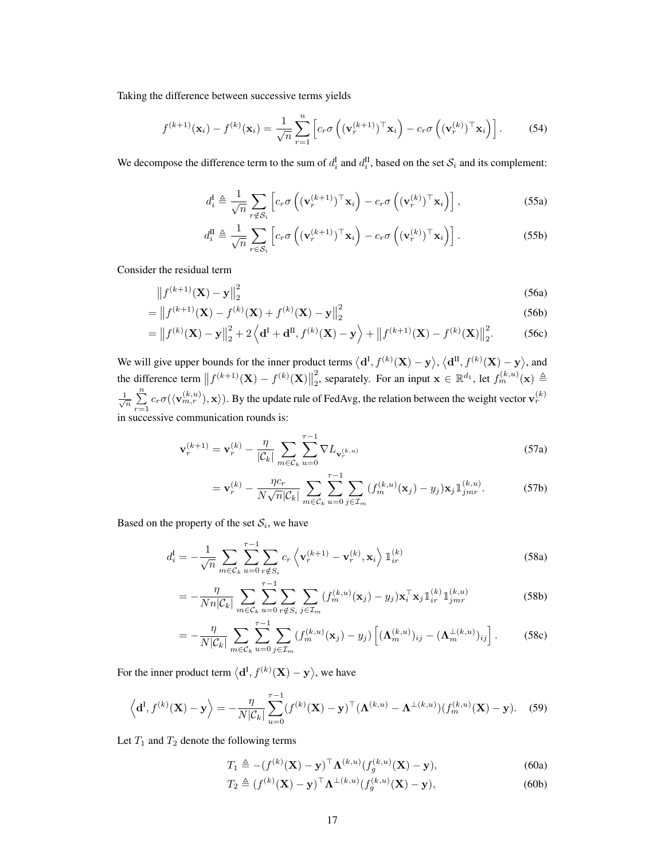Taking the difference between successive terms yields

$$
f^{(k+1)}(\mathbf{x}_i) - f^{(k)}(\mathbf{x}_i) = \frac{1}{\sqrt{n}} \sum_{r=1}^n \left[ c_r \sigma \left( (\mathbf{v}_r^{(k+1)})^\top \mathbf{x}_i \right) - c_r \sigma \left( (\mathbf{v}_r^{(k)})^\top \mathbf{x}_i \right) \right].
$$
 (54)

We decompose the difference term to the sum of  $d_i^{\text{I}}$  and  $d_i^{\text{II}}$ , based on the set  $\mathcal{S}_i$  and its complement:

$$
d_i^{\mathbf{I}} \triangleq \frac{1}{\sqrt{n}} \sum_{r \notin \mathcal{S}_i} \left[ c_r \sigma \left( (\mathbf{v}_r^{(k+1)})^\top \mathbf{x}_i \right) - c_r \sigma \left( (\mathbf{v}_r^{(k)})^\top \mathbf{x}_i \right) \right],\tag{55a}
$$

<span id="page-16-0"></span>
$$
d_i^{\text{II}} \triangleq \frac{1}{\sqrt{n}} \sum_{r \in \mathcal{S}_i} \left[ c_r \sigma \left( (\mathbf{v}_r^{(k+1)})^\top \mathbf{x}_i \right) - c_r \sigma \left( (\mathbf{v}_r^{(k)})^\top \mathbf{x}_i \right) \right]. \tag{55b}
$$

Consider the residual term

$$
\left\|f^{(k+1)}(\mathbf{X}) - \mathbf{y}\right\|_{2}^{2} \tag{56a}
$$

$$
= \|f^{(k+1)}(\mathbf{X}) - f^{(k)}(\mathbf{X}) + f^{(k)}(\mathbf{X}) - \mathbf{y}\|_2^2
$$
\n(56b)

$$
= ||f^{(k)}(\mathbf{X}) - \mathbf{y}||_2^2 + 2\left\langle \mathbf{d}^{\mathrm{I}} + \mathbf{d}^{\mathrm{II}}, f^{(k)}(\mathbf{X}) - \mathbf{y} \right\rangle + ||f^{(k+1)}(\mathbf{X}) - f^{(k)}(\mathbf{X})||_2^2.
$$
 (56c)

We will give upper bounds for the inner product terms  $\langle d^I, f^{(k)}(\mathbf{X}) - \mathbf{y} \rangle$ ,  $\langle d^{II}, f^{(k)}(\mathbf{X}) - \mathbf{y} \rangle$ , and the difference term  $||f^{(k+1)}(\mathbf{X}) - f^{(k)}(\mathbf{X})||$ 2 <sup>2</sup><sub>2</sub>, separately. For an input  $\mathbf{x} \in \mathbb{R}^{d_1}$ , let  $f_m^{(k,u)}(\mathbf{x}) \triangleq$  $\frac{1}{\sqrt{n}}$   $\sum_{n=1}^{\infty}$  $\sum_{r=1}^{N} c_r \sigma(\langle \mathbf{v}_{m,r}^{(k,u)} \rangle, \mathbf{x} \rangle)$ . By the update rule of FedAvg, the relation between the weight vector  $\mathbf{v}_r^{(k)}$ in successive communication rounds is:

$$
\mathbf{v}_r^{(k+1)} = \mathbf{v}_r^{(k)} - \frac{\eta}{|\mathcal{C}_k|} \sum_{m \in \mathcal{C}_k} \sum_{u=0}^{\tau-1} \nabla L_{\mathbf{v}_r^{(k,u)}} \tag{57a}
$$

$$
= \mathbf{v}_r^{(k)} - \frac{\eta c_r}{N\sqrt{n}|\mathcal{C}_k|} \sum_{m \in \mathcal{C}_k} \sum_{u=0}^{\tau-1} \sum_{j \in \mathcal{I}_m} (f_m^{(k,u)}(\mathbf{x}_j) - y_j) \mathbf{x}_j \mathbb{1}_{jm}^{(k,u)}.
$$
 (57b)

Based on the property of the set  $S_i$ , we have

$$
d_i^{\text{I}} = -\frac{1}{\sqrt{n}} \sum_{m \in \mathcal{C}_k} \sum_{u=0}^{r-1} \sum_{r \notin S_i} c_r \left\langle \mathbf{v}_r^{(k+1)} - \mathbf{v}_r^{(k)}, \mathbf{x}_i \right\rangle \mathbb{1}_{ir}^{(k)}
$$
(58a)

$$
= -\frac{\eta}{Nn|\mathcal{C}_k|} \sum_{m \in \mathcal{C}_k} \sum_{u=0}^{\tau-1} \sum_{r \notin S_i} \sum_{j \in \mathcal{I}_m} (f_m^{(k,u)}(\mathbf{x}_j) - y_j) \mathbf{x}_i^{\top} \mathbf{x}_j \mathbb{1}_{ir}^{(k)} \mathbb{1}_{jm}^{(k,u)}
$$
(58b)

$$
=-\frac{\eta}{N|\mathcal{C}_k|}\sum_{m\in\mathcal{C}_k}\sum_{u=0}^{\tau-1}\sum_{j\in\mathcal{I}_m}(f_m^{(k,u)}(\mathbf{x}_j)-y_j)\left[(\mathbf{\Lambda}_m^{(k,u)})_{ij}-(\mathbf{\Lambda}_m^{\perp(k,u)})_{ij}\right].
$$
 (58c)

For the inner product term  $\langle \mathbf{d}^{\mathrm{I}}, f^{(k)}(\mathbf{X}) - \mathbf{y} \rangle$ , we have

$$
\left\langle \mathbf{d}^{I}, f^{(k)}(\mathbf{X}) - \mathbf{y} \right\rangle = -\frac{\eta}{N|\mathcal{C}_k|} \sum_{u=0}^{\tau-1} (f^{(k)}(\mathbf{X}) - \mathbf{y})^{\top} (\mathbf{\Lambda}^{(k,u)} - \mathbf{\Lambda}^{\perp(k,u)}) (f_m^{(k,u)}(\mathbf{X}) - \mathbf{y}). \tag{59}
$$

Let  $T_1$  and  $T_2$  denote the following terms

$$
T_1 \triangleq -(f^{(k)}(\mathbf{X}) - \mathbf{y})^\top \mathbf{\Lambda}^{(k,u)}(f_g^{(k,u)}(\mathbf{X}) - \mathbf{y}),\tag{60a}
$$

$$
T_2 \triangleq (f^{(k)}(\mathbf{X}) - \mathbf{y})^\top \Lambda^{\perp(k,u)} (f_g^{(k,u)}(\mathbf{X}) - \mathbf{y}), \tag{60b}
$$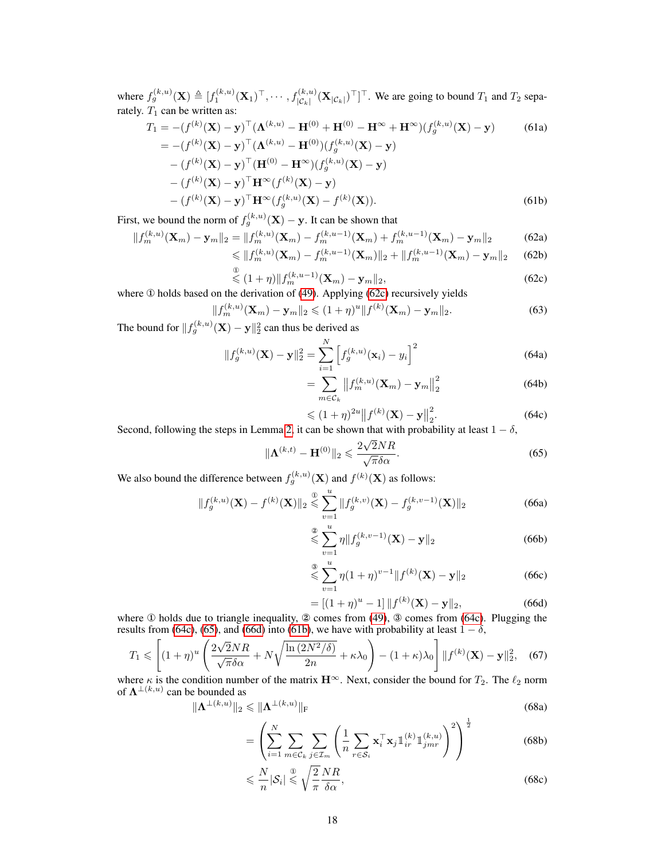where  $f_g^{(k,u)}(\mathbf{X}) \triangleq [f_1^{(k,u)}(\mathbf{X}_1)^{\top}, \cdots, f_{|\mathcal{C}_k|}^{(k,u)}(\mathbf{X}_{|\mathcal{C}_k|})^{\top}]^{\top}$ . We are going to bound  $T_1$  and  $T_2$  separately.  $T_1$  can be written as:

$$
T_1 = -(f^{(k)}(\mathbf{X}) - \mathbf{y})^\top (\mathbf{\Lambda}^{(k,u)} - \mathbf{H}^{(0)} + \mathbf{H}^{(0)} - \mathbf{H}^{\infty} + \mathbf{H}^{\infty})(f_g^{(k,u)}(\mathbf{X}) - \mathbf{y})
$$
(61a)  
\n
$$
= -(f^{(k)}(\mathbf{X}) - \mathbf{y})^\top (\mathbf{\Lambda}^{(k,u)} - \mathbf{H}^{(0)})(f_g^{(k,u)}(\mathbf{X}) - \mathbf{y})
$$
  
\n
$$
- (f^{(k)}(\mathbf{X}) - \mathbf{y})^\top (\mathbf{H}^{(0)} - \mathbf{H}^{\infty})(f_g^{(k,u)}(\mathbf{X}) - \mathbf{y})
$$
  
\n
$$
- (f^{(k)}(\mathbf{X}) - \mathbf{y})^\top \mathbf{H}^{\infty}(f_g^{(k,u)}(\mathbf{X}) - \mathbf{y})
$$
  
\n
$$
- (f^{(k)}(\mathbf{X}) - \mathbf{y})^\top \mathbf{H}^{\infty}(f_g^{(k,u)}(\mathbf{X}) - f^{(k)}(\mathbf{X})).
$$
(61b)

First, we bound the norm of  $f_g^{(k,u)}(\mathbf{X}) - \mathbf{y}$ . It can be shown that

$$
||f_m^{(k,u)}(\mathbf{X}_m) - \mathbf{y}_m||_2 = ||f_m^{(k,u)}(\mathbf{X}_m) - f_m^{(k,u-1)}(\mathbf{X}_m) + f_m^{(k,u-1)}(\mathbf{X}_m) - \mathbf{y}_m||_2
$$
(62a)

$$
\leq \|f_m^{(k,u)}(\mathbf{X}_m) - f_m^{(k,u-1)}(\mathbf{X}_m)\|_2 + \|f_m^{(k,u-1)}(\mathbf{X}_m) - \mathbf{y}_m\|_2 \tag{62b}
$$

$$
\stackrel{0}{\leq} (1+\eta) \| f_m^{(k,u-1)}(\mathbf{X}_m) - \mathbf{y}_m \|_2,
$$
\n(62c)

where ① holds based on the derivation of [\(49\)](#page-15-3). Applying [\(62c\)](#page-16-0) recursively yields

$$
||f_m^{(k,u)}(\mathbf{X}_m) - \mathbf{y}_m||_2 \le (1+\eta)^u ||f^{(k)}(\mathbf{X}_m) - \mathbf{y}_m||_2.
$$
 (63)

The bound for  $||f_g^{(k,u)}(\mathbf{X}) - \mathbf{y}||_2^2$  can thus be derived as

$$
||f_g^{(k,u)}(\mathbf{X}) - \mathbf{y}||_2^2 = \sum_{i=1}^N \left[ f_g^{(k,u)}(\mathbf{x}_i) - y_i \right]^2
$$
 (64a)

<span id="page-17-3"></span>
$$
=\sum_{m\in\mathcal{C}_k}\left\|f_m^{(k,u)}(\mathbf{X}_m)-\mathbf{y}_m\right\|_2^2\tag{64b}
$$

<span id="page-17-0"></span>
$$
\leq (1+\eta)^{2u} \|f^{(k)}(\mathbf{X}) - \mathbf{y}\|_2^2.
$$
\n(64c)

Second, following the steps in Lemma [2,](#page-12-2) it can be shown that with probability at least  $1 - \delta$ ,

$$
\|\mathbf{\Lambda}^{(k,t)} - \mathbf{H}^{(0)}\|_2 \leqslant \frac{2\sqrt{2NR}}{\sqrt{\pi}\delta\alpha}.\tag{65}
$$

We also bound the difference between  $f_g^{(k,u)}(\mathbf{X})$  and  $f^{(k)}(\mathbf{X})$  as follows:

$$
||f_g^{(k,u)}(\mathbf{X}) - f^{(k)}(\mathbf{X})||_2 \leq \sum_{v=1}^{\infty} ||f_g^{(k,v)}(\mathbf{X}) - f_g^{(k,v-1)}(\mathbf{X})||_2
$$
\n(66a)

$$
\leq \sum_{v=1}^{\infty} \eta \| f_g^{(k, v-1)}(\mathbf{X}) - \mathbf{y} \|_2
$$
\n(66b)

$$
\stackrel{\text{d}}{\leq} \sum_{v=1}^{u} \eta (1 + \eta)^{v-1} \| f^{(k)}(\mathbf{X}) - \mathbf{y} \|_{2}
$$
 (66c)

<span id="page-17-2"></span><span id="page-17-1"></span>
$$
= [(1 + \eta)^u - 1] \| f^{(k)}(\mathbf{X}) - \mathbf{y} \|_2,
$$
 (66d)

where  $\Phi$  holds due to triangle inequality,  $\Phi$  comes from [\(49\)](#page-15-3),  $\Phi$  comes from [\(64c\)](#page-16-0). Plugging the results from [\(64c\)](#page-16-0), [\(65\)](#page-17-0), and [\(66d\)](#page-17-1) into [\(61b\)](#page-15-4), we have with probability at least  $1 - \delta$ ,

$$
T_1 \leqslant \left[ (1+\eta)^u \left( \frac{2\sqrt{2}NR}{\sqrt{\pi}\delta\alpha} + N\sqrt{\frac{\ln\left(2N^2/\delta\right)}{2n}} + \kappa\lambda_0 \right) - (1+\kappa)\lambda_0 \right] \|f^{(k)}(\mathbf{X}) - \mathbf{y}\|_2^2, \tag{67}
$$

where  $\kappa$  is the condition number of the matrix  $\mathbf{H}^{\infty}$ . Next, consider the bound for  $T_2$ . The  $\ell_2$  norm of  $\mathbf{\Lambda}^{\perp (k,u)}$  can be bounded as

$$
\|\Lambda^{\perp(k,u)}\|_2 \le \|\Lambda^{\perp(k,u)}\|_{\mathrm{F}}\tag{68a}
$$

$$
= \left(\sum_{i=1}^{N} \sum_{m \in \mathcal{C}_k} \sum_{j \in \mathcal{I}_m} \left(\frac{1}{n} \sum_{r \in \mathcal{S}_i} \mathbf{x}_i^{\top} \mathbf{x}_j \mathbb{1}_{ir}^{(k)} \mathbb{1}_{jmr}^{(k,u)}\right)^2\right)^{\frac{1}{2}}
$$
(68b)

$$
\leqslant \frac{N}{n} |\mathcal{S}_i| \leqslant \sqrt{\frac{2}{\pi}} \frac{NR}{\delta \alpha},\tag{68c}
$$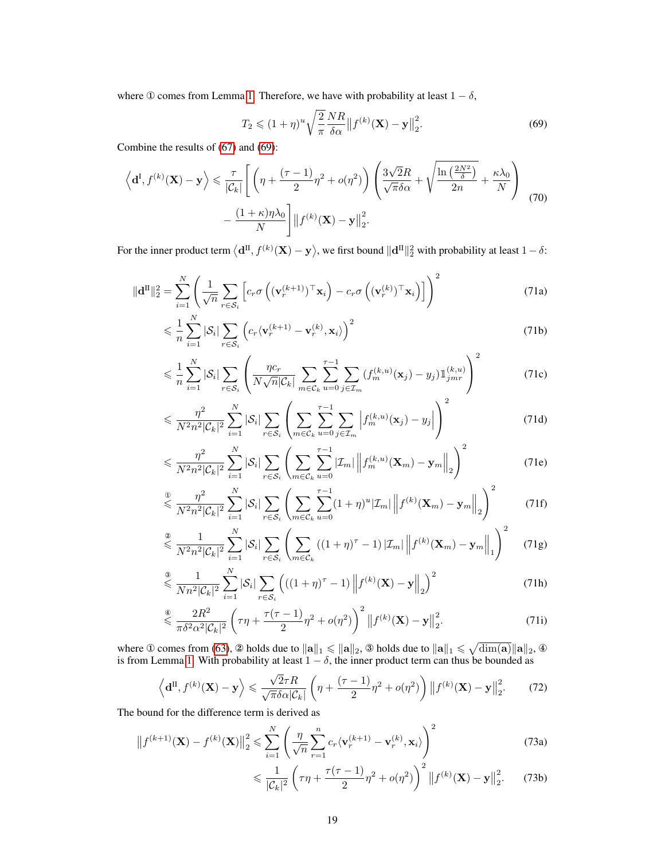where ① comes from Lemma [1.](#page-12-1) Therefore, we have with probability at least  $1 - \delta$ ,

<span id="page-18-1"></span><span id="page-18-0"></span>
$$
T_2 \leqslant (1+\eta)^u \sqrt{\frac{2}{\pi}} \frac{NR}{\delta \alpha} \left\| f^{(k)}(\mathbf{X}) - \mathbf{y} \right\|_2^2.
$$
 (69)

Combine the results of [\(67\)](#page-17-2) and [\(69\)](#page-18-0):

$$
\left\langle \mathbf{d}^{I}, f^{(k)}(\mathbf{X}) - \mathbf{y} \right\rangle \leq \frac{\tau}{|\mathcal{C}_k|} \left[ \left( \eta + \frac{(\tau - 1)}{2} \eta^2 + o(\eta^2) \right) \left( \frac{3\sqrt{2}R}{\sqrt{\pi}\delta\alpha} + \sqrt{\frac{\ln\left(\frac{2N^2}{\delta}\right)}{2n}} + \frac{\kappa\lambda_0}{N} \right) - \frac{(1 + \kappa)\eta\lambda_0}{N} \right] ||f^{(k)}(\mathbf{X}) - \mathbf{y}||_2^2.
$$
\n(70)

For the inner product term  $\langle \mathbf{d}^{\text{II}}, f^{(k)}(\mathbf{X}) - \mathbf{y} \rangle$ , we first bound  $\|\mathbf{d}^{\text{II}}\|_2^2$  with probability at least  $1 - \delta$ :

$$
\|\mathbf{d}^{\mathrm{II}}\|_{2}^{2} = \sum_{i=1}^{N} \left( \frac{1}{\sqrt{n}} \sum_{r \in \mathcal{S}_{i}} \left[ c_{r} \sigma \left( (\mathbf{v}_{r}^{(k+1)})^{\top} \mathbf{x}_{i} \right) - c_{r} \sigma \left( (\mathbf{v}_{r}^{(k)})^{\top} \mathbf{x}_{i} \right) \right] \right)^{2}
$$
(71a)

$$
\leqslant \frac{1}{n} \sum_{i=1}^{N} |\mathcal{S}_i| \sum_{r \in \mathcal{S}_i} \left( c_r \langle \mathbf{v}_r^{(k+1)} - \mathbf{v}_r^{(k)}, \mathbf{x}_i \rangle \right)^2 \tag{71b}
$$

$$
\leqslant \frac{1}{n} \sum_{i=1}^{N} |\mathcal{S}_i| \sum_{r \in \mathcal{S}_i} \left( \frac{\eta c_r}{N \sqrt{n} |\mathcal{C}_k|} \sum_{m \in \mathcal{C}_k} \sum_{u=0}^{\tau-1} \sum_{j \in \mathcal{I}_m} (f_m^{(k,u)}(\mathbf{x}_j) - y_j) \mathbb{1}_{jm}^{(k,u)} \right)^2 \tag{71c}
$$

$$
\leqslant \frac{\eta^2}{N^2 n^2 |\mathcal{C}_k|^2} \sum_{i=1}^N |\mathcal{S}_i| \sum_{r \in \mathcal{S}_i} \left( \sum_{m \in \mathcal{C}_k} \sum_{u=0}^{\tau-1} \sum_{j \in \mathcal{I}_m} \left| f_m^{(k,u)}(\mathbf{x}_j) - y_j \right| \right)^2 \tag{71d}
$$

$$
\leqslant \frac{\eta^2}{N^2 n^2 |\mathcal{C}_k|^2} \sum_{i=1}^N |\mathcal{S}_i| \sum_{r \in \mathcal{S}_i} \left( \sum_{m \in \mathcal{C}_k} \sum_{u=0}^{\tau-1} |\mathcal{I}_m| \left\| f_m^{(k,u)}(\mathbf{X}_m) - \mathbf{y}_m \right\|_2 \right)^2 \tag{71e}
$$

$$
\stackrel{\circ}{\leq} \frac{\eta^2}{N^2 n^2 |\mathcal{C}_k|^2} \sum_{i=1}^N |\mathcal{S}_i| \sum_{r \in \mathcal{S}_i} \left( \sum_{m \in \mathcal{C}_k} \sum_{u=0}^{\tau-1} (1+\eta)^u |\mathcal{I}_m| \left\| f^{(k)}(\mathbf{X}_m) - \mathbf{y}_m \right\|_2 \right)^2 \tag{71f}
$$

$$
\stackrel{\circledcirc}{\leq} \frac{1}{N^2 n^2 |\mathcal{C}_k|^2} \sum_{i=1}^N |\mathcal{S}_i| \sum_{r \in \mathcal{S}_i} \left( \sum_{m \in \mathcal{C}_k} \left( (1+\eta)^{\tau} - 1 \right) |\mathcal{I}_m| \left\| f^{(k)}(\mathbf{X}_m) - \mathbf{y}_m \right\|_1 \right)^2 \tag{71g}
$$

$$
\stackrel{\text{d}}{\leq} \frac{1}{Nn^2|\mathcal{C}_k|^2} \sum_{i=1}^N |\mathcal{S}_i| \sum_{r \in \mathcal{S}_i} \left( ((1+\eta)^{\tau} - 1) \left\| f^{(k)}(\mathbf{X}) - \mathbf{y} \right\|_2 \right)^2 \tag{71h}
$$

$$
\stackrel{\circledast}{\leq} \frac{2R^2}{\pi \delta^2 \alpha^2 |\mathcal{C}_k|^2} \left( \tau \eta + \frac{\tau(\tau - 1)}{2} \eta^2 + o(\eta^2) \right)^2 \| f^{(k)}(\mathbf{X}) - \mathbf{y} \|_2^2.
$$
 (71i)

where ① comes from [\(63\)](#page-17-3), ② holds due to  $\|\mathbf{a}\|_1 \leqslant \|\mathbf{a}\|_2$ , ③ holds due to  $\|\mathbf{a}\|_1 \leqslant \sqrt{\dim(\mathbf{a})}\|\mathbf{a}\|_2$ , ④ is from Lemma [1.](#page-12-1) With probability at least  $1 - \delta$ , the inner product term can thus be bounded as

$$
\left\langle \mathbf{d}^{\mathrm{II}}, f^{(k)}(\mathbf{X}) - \mathbf{y} \right\rangle \leqslant \frac{\sqrt{2}\tau R}{\sqrt{\pi}\delta\alpha |\mathcal{C}_k|} \left( \eta + \frac{(\tau - 1)}{2} \eta^2 + o(\eta^2) \right) \left\| f^{(k)}(\mathbf{X}) - \mathbf{y} \right\|_2^2. \tag{72}
$$

The bound for the difference term is derived as

$$
\|f^{(k+1)}(\mathbf{X}) - f^{(k)}(\mathbf{X})\|_2^2 \leq \sum_{i=1}^N \left(\frac{\eta}{\sqrt{n}} \sum_{r=1}^n c_r \langle \mathbf{v}_r^{(k+1)} - \mathbf{v}_r^{(k)}, \mathbf{x}_i \rangle \right)^2
$$
(73a)

<span id="page-18-2"></span>
$$
\leq \frac{1}{|\mathcal{C}_k|^2} \left( \tau \eta + \frac{\tau(\tau - 1)}{2} \eta^2 + o(\eta^2) \right)^2 \| f^{(k)}(\mathbf{X}) - \mathbf{y} \|_2^2. \tag{73b}
$$